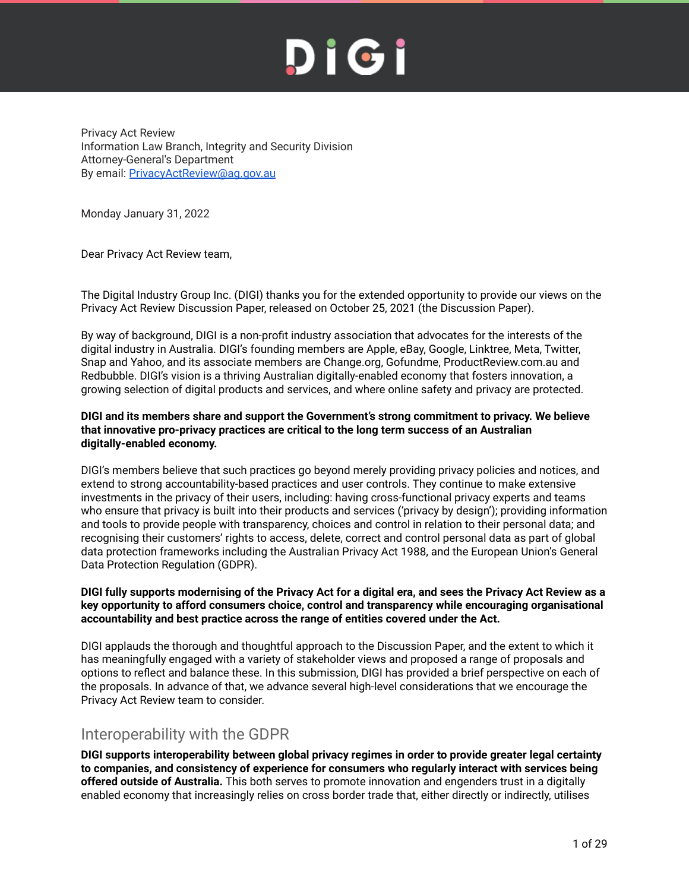Privacy Act Review Information Law Branch, Integrity and Security Division Attorney-General's Department By email: [PrivacyActReview@ag.gov.au](mailto:PrivacyActReview@ag.gov.au)

Monday January 31, 2022

Dear Privacy Act Review team,

The Digital Industry Group Inc. (DIGI) thanks you for the extended opportunity to provide our views on the Privacy Act Review Discussion Paper, released on October 25, 2021 (the Discussion Paper).

By way of background, DIGI is a non-profit industry association that advocates for the interests of the digital industry in Australia. DIGI's founding members are Apple, eBay, Google, Linktree, Meta, Twitter, Snap and Yahoo, and its associate members are Change.org, Gofundme, ProductReview.com.au and Redbubble. DIGI's vision is a thriving Australian digitally-enabled economy that fosters innovation, a growing selection of digital products and services, and where online safety and privacy are protected.

#### **DIGI and its members share and support the Government's strong commitment to privacy. We believe that innovative pro-privacy practices are critical to the long term success of an Australian digitally-enabled economy.**

DIGI's members believe that such practices go beyond merely providing privacy policies and notices, and extend to strong accountability-based practices and user controls. They continue to make extensive investments in the privacy of their users, including: having cross-functional privacy experts and teams who ensure that privacy is built into their products and services ('privacy by design'); providing information and tools to provide people with transparency, choices and control in relation to their personal data; and recognising their customers' rights to access, delete, correct and control personal data as part of global data protection frameworks including the Australian Privacy Act 1988, and the European Union's General Data Protection Regulation (GDPR).

#### DIGI fully supports modernising of the Privacy Act for a digital era, and sees the Privacy Act Review as a **key opportunity to afford consumers choice, control and transparency while encouraging organisational accountability and best practice across the range of entities covered under the Act.**

DIGI applauds the thorough and thoughtful approach to the Discussion Paper, and the extent to which it has meaningfully engaged with a variety of stakeholder views and proposed a range of proposals and options to reflect and balance these. In this submission, DIGI has provided a brief perspective on each of the proposals. In advance of that, we advance several high-level considerations that we encourage the Privacy Act Review team to consider.

#### <span id="page-0-0"></span>Interoperability with the GDPR

**DIGI supports interoperability between global privacy regimes in order to provide greater legal certainty to companies, and consistency of experience for consumers who regularly interact with services being offered outside of Australia.** This both serves to promote innovation and engenders trust in a digitally enabled economy that increasingly relies on cross border trade that, either directly or indirectly, utilises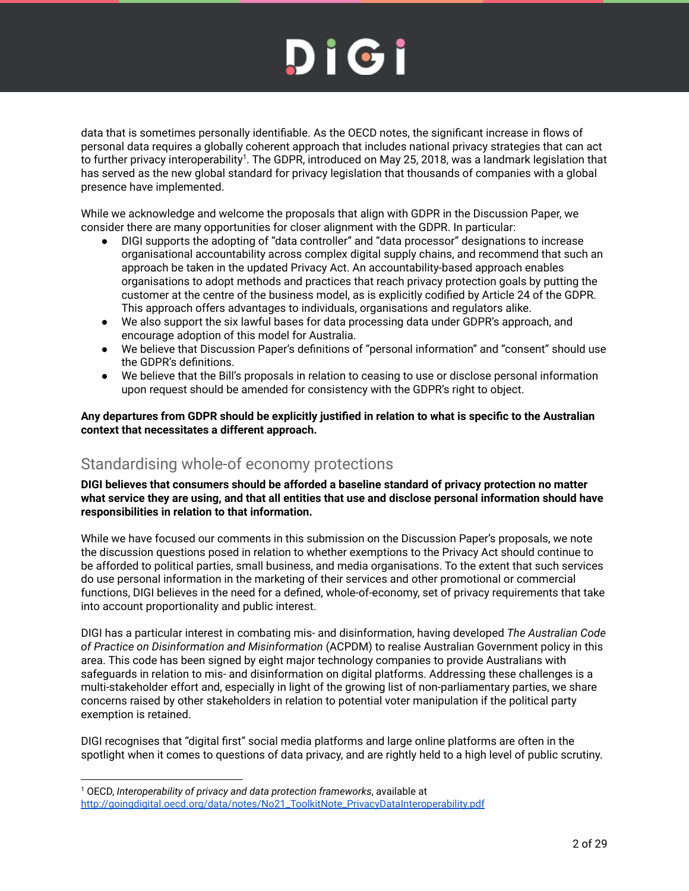data that is sometimes personally identifiable. As the OECD notes, the significant increase in flows of personal data requires a globally coherent approach that includes national privacy strategies that can act to further privacy interoperability<sup>1</sup>. The GDPR, introduced on May 25, 2018, was a landmark legislation that has served as the new global standard for privacy legislation that thousands of companies with a global presence have implemented.

While we acknowledge and welcome the proposals that align with GDPR in the Discussion Paper, we consider there are many opportunities for closer alignment with the GDPR. In particular:

- DIGI supports the adopting of "data controller" and "data processor" designations to increase organisational accountability across complex digital supply chains, and recommend that such an approach be taken in the updated Privacy Act. An accountability-based approach enables organisations to adopt methods and practices that reach privacy protection goals by putting the customer at the centre of the business model, as is explicitly codified by Article 24 of the GDPR. This approach offers advantages to individuals, organisations and regulators alike.
- We also support the six lawful bases for data processing data under GDPR's approach, and encourage adoption of this model for Australia.
- We believe that Discussion Paper's definitions of "personal information" and "consent" should use the GDPR's definitions.
- We believe that the Bill's proposals in relation to ceasing to use or disclose personal information upon request should be amended for consistency with the GDPR's right to object.

**Any departures from GDPR should be explicitly justified in relation to what is specific to the Australian context that necessitates a different approach.**

#### <span id="page-1-0"></span>Standardising whole-of economy protections

**DIGI believes that consumers should be afforded a baseline standard of privacy protection no matter what service they are using, and that all entities that use and disclose personal information should have responsibilities in relation to that information.**

While we have focused our comments in this submission on the Discussion Paper's proposals, we note the discussion questions posed in relation to whether exemptions to the Privacy Act should continue to be afforded to political parties, small business, and media organisations. To the extent that such services do use personal information in the marketing of their services and other promotional or commercial functions, DIGI believes in the need for a defined, whole-of-economy, set of privacy requirements that take into account proportionality and public interest.

DIGI has a particular interest in combating mis- and disinformation, having developed *The Australian Code of Practice on Disinformation and Misinformation* (ACPDM) to realise Australian Government policy in this area. This code has been signed by eight major technology companies to provide Australians with safeguards in relation to mis- and disinformation on digital platforms. Addressing these challenges is a multi-stakeholder effort and, especially in light of the growing list of non-parliamentary parties, we share concerns raised by other stakeholders in relation to potential voter manipulation if the political party exemption is retained.

DIGI recognises that "digital first" social media platforms and large online platforms are often in the spotlight when it comes to questions of data privacy, and are rightly held to a high level of public scrutiny.

<sup>1</sup> OECD, *Interoperability of privacy and data protection frameworks*, available at [http://goingdigital.oecd.org/data/notes/No21\\_ToolkitNote\\_PrivacyDataInteroperability.pdf](http://goingdigital.oecd.org/data/notes/No21_ToolkitNote_PrivacyDataInteroperability.pdf)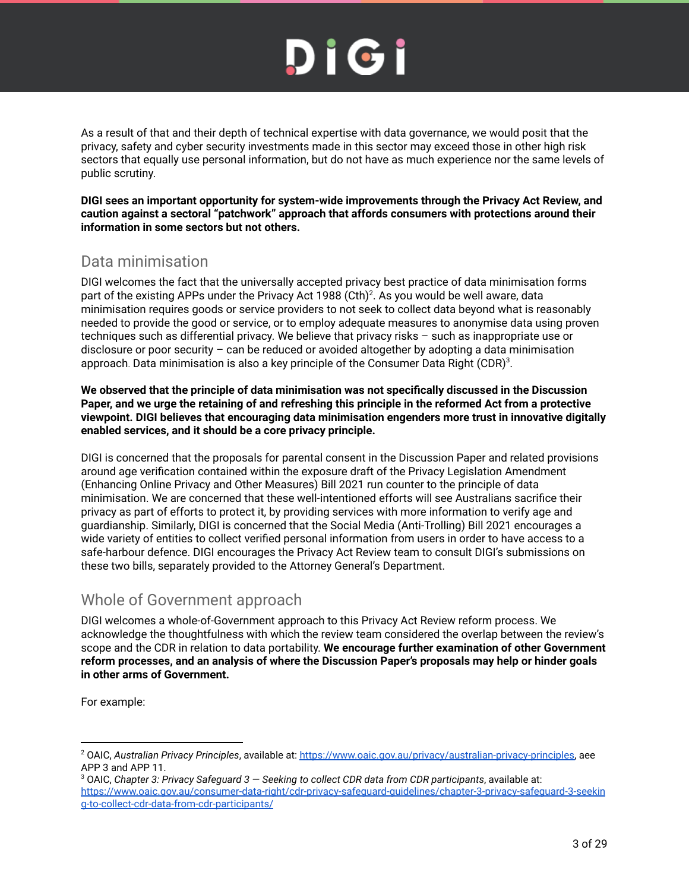As a result of that and their depth of technical expertise with data governance, we would posit that the privacy, safety and cyber security investments made in this sector may exceed those in other high risk sectors that equally use personal information, but do not have as much experience nor the same levels of public scrutiny.

**DIGI sees an important opportunity for system-wide improvements through the Privacy Act Review, and caution against a sectoral "patchwork" approach that affords consumers with protections around their information in some sectors but not others.**

### <span id="page-2-0"></span>Data minimisation

DIGI welcomes the fact that the universally accepted privacy best practice of data minimisation forms part of the existing APPs under the Privacy Act 1988 (Cth)<sup>2</sup>. As you would be well aware, data minimisation requires goods or service providers to not seek to collect data beyond what is reasonably needed to provide the good or service, or to employ adequate measures to anonymise data using proven techniques such as differential privacy. We believe that privacy risks – such as inappropriate use or disclosure or poor security – can be reduced or avoided altogether by adopting a data minimisation approach. Data minimisation is also a key principle of the Consumer Data Right (CDR) $^3$ .

**We observed that the principle of data minimisation was not specifically discussed in the Discussion** Paper, and we urge the retaining of and refreshing this principle in the reformed Act from a protective **viewpoint. DIGI believes that encouraging data minimisation engenders more trust in innovative digitally enabled services, and it should be a core privacy principle.**

DIGI is concerned that the proposals for parental consent in the Discussion Paper and related provisions around age verification contained within the exposure draft of the Privacy Legislation Amendment (Enhancing Online Privacy and Other Measures) Bill 2021 run counter to the principle of data minimisation. We are concerned that these well-intentioned efforts will see Australians sacrifice their privacy as part of efforts to protect it, by providing services with more information to verify age and guardianship. Similarly, DIGI is concerned that the Social Media (Anti-Trolling) Bill 2021 encourages a wide variety of entities to collect verified personal information from users in order to have access to a safe-harbour defence. DIGI encourages the Privacy Act Review team to consult DIGI's submissions on these two bills, separately provided to the Attorney General's Department.

#### <span id="page-2-1"></span>Whole of Government approach

DIGI welcomes a whole-of-Government approach to this Privacy Act Review reform process. We acknowledge the thoughtfulness with which the review team considered the overlap between the review's scope and the CDR in relation to data portability. **We encourage further examination of other Government reform processes, and an analysis of where the Discussion Paper's proposals may help or hinder goals in other arms of Government.**

For example:

<sup>2</sup> OAIC, *Australian Privacy Principles*, available at: [https://www.oaic.gov.au/privacy/australian-privacy-principles,](https://www.oaic.gov.au/privacy/australian-privacy-principles) aee APP 3 and APP 11.

<sup>3</sup> OAIC, *Chapter 3: Privacy Safeguard 3 — Seeking to collect CDR data from CDR participants*, available at: [https://www.oaic.gov.au/consumer-data-right/cdr-privacy-safeguard-guidelines/chapter-3-privacy-safeguard-3-seekin](https://www.oaic.gov.au/consumer-data-right/cdr-privacy-safeguard-guidelines/chapter-3-privacy-safeguard-3-seeking-to-collect-cdr-data-from-cdr-participants/) [g-to-collect-cdr-data-from-cdr-participants/](https://www.oaic.gov.au/consumer-data-right/cdr-privacy-safeguard-guidelines/chapter-3-privacy-safeguard-3-seeking-to-collect-cdr-data-from-cdr-participants/)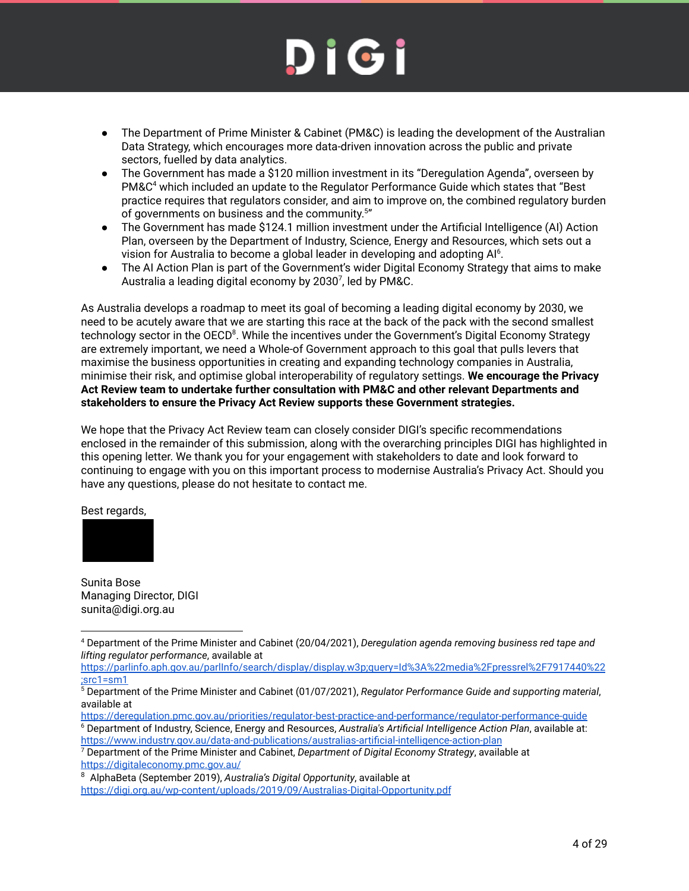- The Department of Prime Minister & Cabinet (PM&C) is leading the development of the Australian Data Strategy, which encourages more data-driven innovation across the public and private sectors, fuelled by data analytics.
- The Government has made a \$120 million investment in its "Deregulation Agenda", overseen by PM&C <sup>4</sup> which included an update to the Regulator Performance Guide which states that "Best practice requires that regulators consider, and aim to improve on, the combined regulatory burden of governments on business and the community.<sup>5"</sup>
- The Government has made \$124.1 million investment under the Artificial Intelligence (AI) Action Plan, overseen by the Department of Industry, Science, Energy and Resources, which sets out a vision for Australia to become a global leader in developing and adopting Al<sup>6</sup>.
- The AI Action Plan is part of the Government's wider Digital Economy Strategy that aims to make Australia a leading digital economy by 2030<sup>7</sup>, led by PM&C.

As Australia develops a roadmap to meet its goal of becoming a leading digital economy by 2030, we need to be acutely aware that we are starting this race at the back of the pack with the second smallest technology sector in the OECD<sup>8</sup>. While the incentives under the Government's Digital Economy Strategy are extremely important, we need a Whole-of Government approach to this goal that pulls levers that maximise the business opportunities in creating and expanding technology companies in Australia, minimise their risk, and optimise global interoperability of regulatory settings. **We encourage the Privacy Act Review team to undertake further consultation with PM&C and other relevant Departments and stakeholders to ensure the Privacy Act Review supports these Government strategies.**

We hope that the Privacy Act Review team can closely consider DIGI's specific recommendations enclosed in the remainder of this submission, along with the overarching principles DIGI has highlighted in this opening letter. We thank you for your engagement with stakeholders to date and look forward to continuing to engage with you on this important process to modernise Australia's Privacy Act. Should you have any questions, please do not hesitate to contact me.

Best regards,



Sunita Bose Managing Director, DIGI sunita@digi.org.au

- <https://deregulation.pmc.gov.au/priorities/regulator-best-practice-and-performance/regulator-performance-guide>
- <sup>6</sup> Department of Industry, Science, Energy and Resources, *Australia's Artificial Intelligence Action Plan*, available at: <https://www.industry.gov.au/data-and-publications/australias-artificial-intelligence-action-plan>

<sup>4</sup> Department of the Prime Minister and Cabinet (20/04/2021), *Deregulation agenda removing business red tape and lifting regulator performance*, available at

[https://parlinfo.aph.gov.au/parlInfo/search/display/display.w3p;query=Id%3A%22media%2Fpressrel%2F7917440%22](https://parlinfo.aph.gov.au/parlInfo/search/display/display.w3p;query=Id%3A%22media%2Fpressrel%2F7917440%22;src1=sm1) [;src1=sm1](https://parlinfo.aph.gov.au/parlInfo/search/display/display.w3p;query=Id%3A%22media%2Fpressrel%2F7917440%22;src1=sm1)

<sup>5</sup> Department of the Prime Minister and Cabinet (01/07/2021), *Regulator Performance Guide and supporting material*, available at

<sup>7</sup> Department of the Prime Minister and Cabinet, *Department of Digital Economy Strategy*, available at <https://digitaleconomy.pmc.gov.au/>

<sup>8</sup> AlphaBeta (September 2019), *Australia's Digital Opportunity*, available at <https://digi.org.au/wp-content/uploads/2019/09/Australias-Digital-Opportunity.pdf>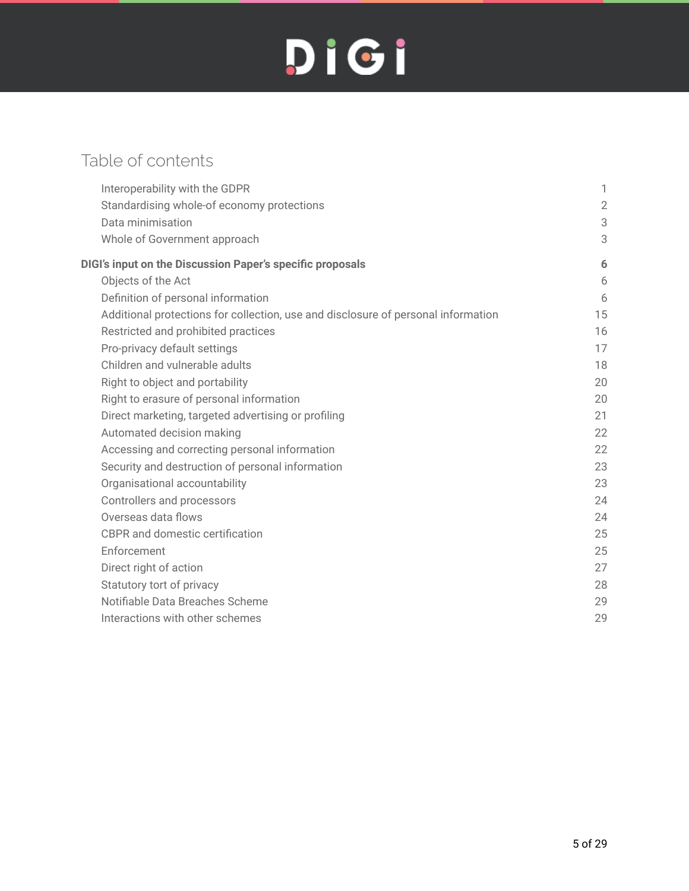## Table of contents

| Interoperability with the GDPR                                                    | 1              |
|-----------------------------------------------------------------------------------|----------------|
| Standardising whole-of economy protections                                        | $\overline{2}$ |
| Data minimisation                                                                 | 3              |
| Whole of Government approach                                                      | 3              |
| DIGI's input on the Discussion Paper's specific proposals                         | 6              |
| Objects of the Act                                                                | 6              |
| Definition of personal information                                                | 6              |
| Additional protections for collection, use and disclosure of personal information | 15             |
| Restricted and prohibited practices                                               | 16             |
| Pro-privacy default settings                                                      | 17             |
| Children and vulnerable adults                                                    | 18             |
| Right to object and portability                                                   | 20             |
| Right to erasure of personal information                                          | 20             |
| Direct marketing, targeted advertising or profiling                               | 21             |
| Automated decision making                                                         | 22             |
| Accessing and correcting personal information                                     | 22             |
| Security and destruction of personal information                                  | 23             |
| Organisational accountability                                                     | 23             |
| Controllers and processors                                                        | 24             |
| Overseas data flows                                                               | 24             |
| <b>CBPR</b> and domestic certification                                            | 25             |
| Enforcement                                                                       | 25             |
| Direct right of action                                                            | 27             |
| Statutory tort of privacy                                                         | 28             |
| Notifiable Data Breaches Scheme                                                   | 29             |
| Interactions with other schemes                                                   | 29             |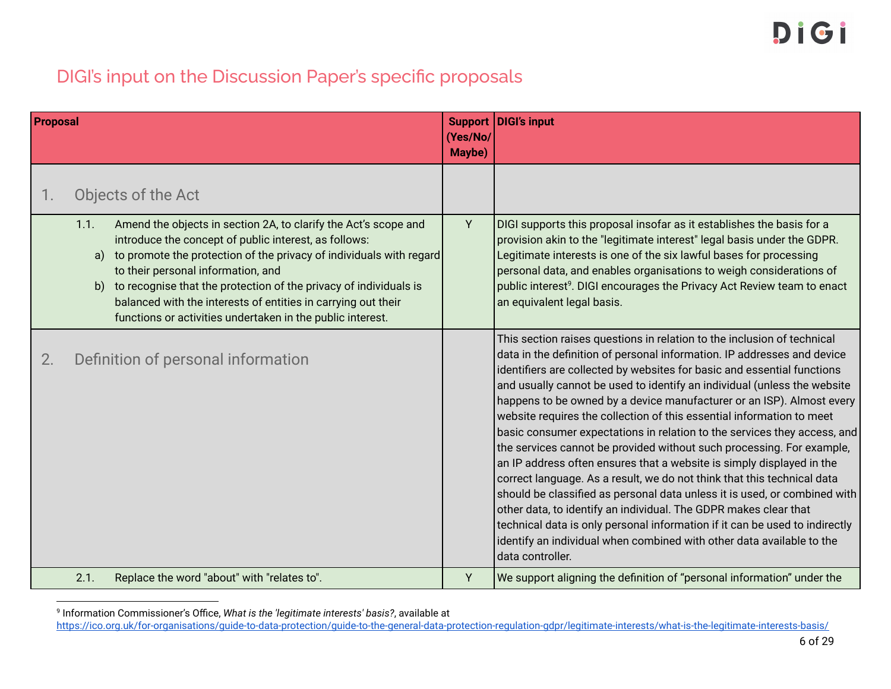### DIGI's input on the Discussion Paper's specific proposals

<span id="page-5-0"></span>

| <b>Proposal</b> |                                                                                                                                                                                                                                                                                                                                                                                                                                                               | (Yes/No/<br>Maybe) | Support DIGI's input                                                                                                                                                                                                                                                                                                                                                                                                                                                                                                                                                                                                                                                                                                                                                                                                                                                                                                                                                                                                                                                                              |
|-----------------|---------------------------------------------------------------------------------------------------------------------------------------------------------------------------------------------------------------------------------------------------------------------------------------------------------------------------------------------------------------------------------------------------------------------------------------------------------------|--------------------|---------------------------------------------------------------------------------------------------------------------------------------------------------------------------------------------------------------------------------------------------------------------------------------------------------------------------------------------------------------------------------------------------------------------------------------------------------------------------------------------------------------------------------------------------------------------------------------------------------------------------------------------------------------------------------------------------------------------------------------------------------------------------------------------------------------------------------------------------------------------------------------------------------------------------------------------------------------------------------------------------------------------------------------------------------------------------------------------------|
| 1.              | Objects of the Act                                                                                                                                                                                                                                                                                                                                                                                                                                            |                    |                                                                                                                                                                                                                                                                                                                                                                                                                                                                                                                                                                                                                                                                                                                                                                                                                                                                                                                                                                                                                                                                                                   |
|                 | Amend the objects in section 2A, to clarify the Act's scope and<br>1.1.<br>introduce the concept of public interest, as follows:<br>to promote the protection of the privacy of individuals with regard<br>a)<br>to their personal information, and<br>to recognise that the protection of the privacy of individuals is<br>b)<br>balanced with the interests of entities in carrying out their<br>functions or activities undertaken in the public interest. | Υ                  | DIGI supports this proposal insofar as it establishes the basis for a<br>provision akin to the "legitimate interest" legal basis under the GDPR.<br>Legitimate interests is one of the six lawful bases for processing<br>personal data, and enables organisations to weigh considerations of<br>public interest <sup>9</sup> . DIGI encourages the Privacy Act Review team to enact<br>an equivalent legal basis.                                                                                                                                                                                                                                                                                                                                                                                                                                                                                                                                                                                                                                                                                |
| 2.              | Definition of personal information                                                                                                                                                                                                                                                                                                                                                                                                                            |                    | This section raises questions in relation to the inclusion of technical<br>data in the definition of personal information. IP addresses and device<br>identifiers are collected by websites for basic and essential functions<br>and usually cannot be used to identify an individual (unless the website<br>happens to be owned by a device manufacturer or an ISP). Almost every<br>website requires the collection of this essential information to meet<br>basic consumer expectations in relation to the services they access, and<br>the services cannot be provided without such processing. For example,<br>an IP address often ensures that a website is simply displayed in the<br>correct language. As a result, we do not think that this technical data<br>should be classified as personal data unless it is used, or combined with<br>other data, to identify an individual. The GDPR makes clear that<br>technical data is only personal information if it can be used to indirectly<br>identify an individual when combined with other data available to the<br>data controller. |
|                 | 2.1.<br>Replace the word "about" with "relates to".                                                                                                                                                                                                                                                                                                                                                                                                           | Y                  | We support aligning the definition of "personal information" under the                                                                                                                                                                                                                                                                                                                                                                                                                                                                                                                                                                                                                                                                                                                                                                                                                                                                                                                                                                                                                            |

<span id="page-5-2"></span><span id="page-5-1"></span>9 Information Commissioner's Office, *What is the 'legitimate interests' basis?*, available at

<https://ico.org.uk/for-organisations/guide-to-data-protection/guide-to-the-general-data-protection-regulation-gdpr/legitimate-interests/what-is-the-legitimate-interests-basis/>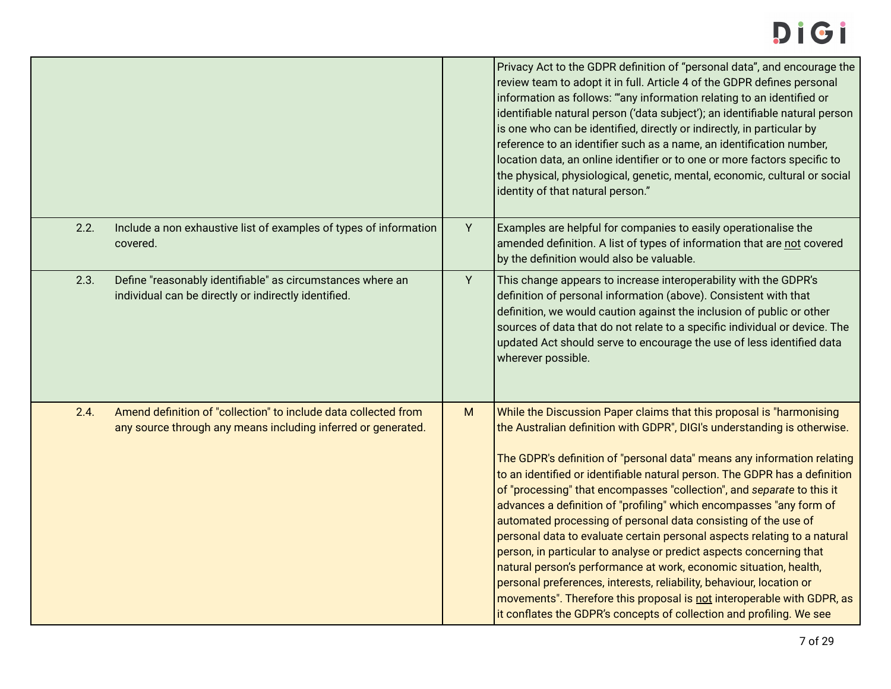## DIGI

|      |                                                                                                                                  |   | Privacy Act to the GDPR definition of "personal data", and encourage the<br>review team to adopt it in full. Article 4 of the GDPR defines personal<br>information as follows: "any information relating to an identified or<br>identifiable natural person ('data subject'); an identifiable natural person<br>is one who can be identified, directly or indirectly, in particular by<br>reference to an identifier such as a name, an identification number,<br>location data, an online identifier or to one or more factors specific to<br>the physical, physiological, genetic, mental, economic, cultural or social<br>identity of that natural person."                                                                                                                                                                                                                                                                                                                 |
|------|----------------------------------------------------------------------------------------------------------------------------------|---|--------------------------------------------------------------------------------------------------------------------------------------------------------------------------------------------------------------------------------------------------------------------------------------------------------------------------------------------------------------------------------------------------------------------------------------------------------------------------------------------------------------------------------------------------------------------------------------------------------------------------------------------------------------------------------------------------------------------------------------------------------------------------------------------------------------------------------------------------------------------------------------------------------------------------------------------------------------------------------|
| 2.2. | Include a non exhaustive list of examples of types of information<br>covered.                                                    | Y | Examples are helpful for companies to easily operationalise the<br>amended definition. A list of types of information that are not covered<br>by the definition would also be valuable.                                                                                                                                                                                                                                                                                                                                                                                                                                                                                                                                                                                                                                                                                                                                                                                        |
| 2.3. | Define "reasonably identifiable" as circumstances where an<br>individual can be directly or indirectly identified.               | Y | This change appears to increase interoperability with the GDPR's<br>definition of personal information (above). Consistent with that<br>definition, we would caution against the inclusion of public or other<br>sources of data that do not relate to a specific individual or device. The<br>updated Act should serve to encourage the use of less identified data<br>wherever possible.                                                                                                                                                                                                                                                                                                                                                                                                                                                                                                                                                                                     |
| 2.4. | Amend definition of "collection" to include data collected from<br>any source through any means including inferred or generated. | M | While the Discussion Paper claims that this proposal is "harmonising<br>the Australian definition with GDPR", DIGI's understanding is otherwise.<br>The GDPR's definition of "personal data" means any information relating<br>to an identified or identifiable natural person. The GDPR has a definition<br>of "processing" that encompasses "collection", and separate to this it<br>advances a definition of "profiling" which encompasses "any form of<br>automated processing of personal data consisting of the use of<br>personal data to evaluate certain personal aspects relating to a natural<br>person, in particular to analyse or predict aspects concerning that<br>natural person's performance at work, economic situation, health,<br>personal preferences, interests, reliability, behaviour, location or<br>movements". Therefore this proposal is not interoperable with GDPR, as<br>it conflates the GDPR's concepts of collection and profiling. We see |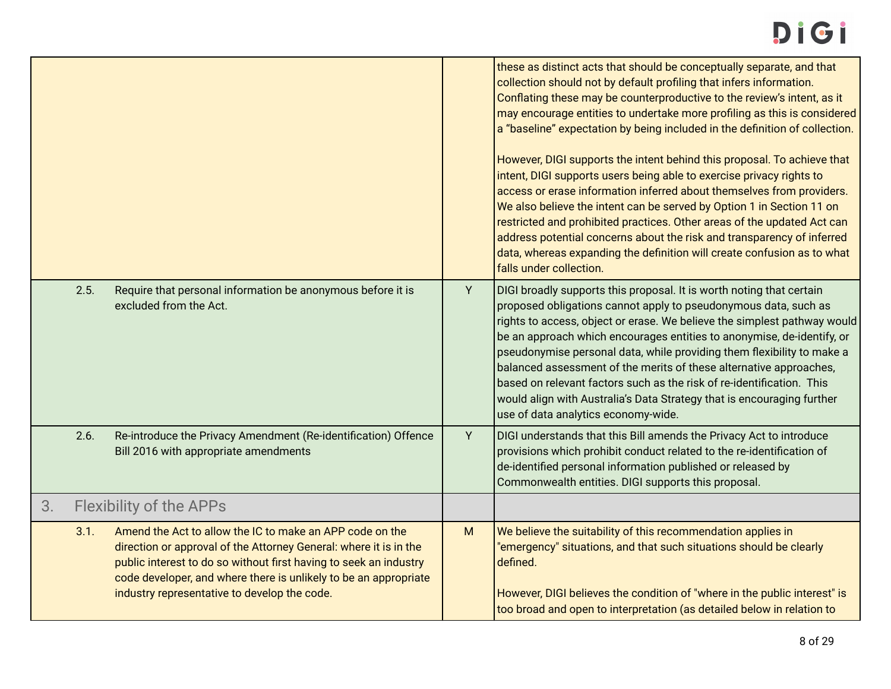|    |      |                                                                                                                                                                                                                                                                                                                        |   | these as distinct acts that should be conceptually separate, and that<br>collection should not by default profiling that infers information.<br>Conflating these may be counterproductive to the review's intent, as it<br>may encourage entities to undertake more profiling as this is considered<br>a "baseline" expectation by being included in the definition of collection.<br>However, DIGI supports the intent behind this proposal. To achieve that<br>intent, DIGI supports users being able to exercise privacy rights to<br>access or erase information inferred about themselves from providers.<br>We also believe the intent can be served by Option 1 in Section 11 on<br>restricted and prohibited practices. Other areas of the updated Act can<br>address potential concerns about the risk and transparency of inferred<br>data, whereas expanding the definition will create confusion as to what<br>falls under collection. |
|----|------|------------------------------------------------------------------------------------------------------------------------------------------------------------------------------------------------------------------------------------------------------------------------------------------------------------------------|---|----------------------------------------------------------------------------------------------------------------------------------------------------------------------------------------------------------------------------------------------------------------------------------------------------------------------------------------------------------------------------------------------------------------------------------------------------------------------------------------------------------------------------------------------------------------------------------------------------------------------------------------------------------------------------------------------------------------------------------------------------------------------------------------------------------------------------------------------------------------------------------------------------------------------------------------------------|
|    | 2.5. | Require that personal information be anonymous before it is<br>excluded from the Act.                                                                                                                                                                                                                                  | Y | DIGI broadly supports this proposal. It is worth noting that certain<br>proposed obligations cannot apply to pseudonymous data, such as<br>rights to access, object or erase. We believe the simplest pathway would<br>be an approach which encourages entities to anonymise, de-identify, or<br>pseudonymise personal data, while providing them flexibility to make a<br>balanced assessment of the merits of these alternative approaches,<br>based on relevant factors such as the risk of re-identification. This<br>would align with Australia's Data Strategy that is encouraging further<br>use of data analytics economy-wide.                                                                                                                                                                                                                                                                                                            |
|    | 2.6. | Re-introduce the Privacy Amendment (Re-identification) Offence<br>Bill 2016 with appropriate amendments                                                                                                                                                                                                                | Y | DIGI understands that this Bill amends the Privacy Act to introduce<br>provisions which prohibit conduct related to the re-identification of<br>de-identified personal information published or released by<br>Commonwealth entities. DIGI supports this proposal.                                                                                                                                                                                                                                                                                                                                                                                                                                                                                                                                                                                                                                                                                 |
| 3. |      | <b>Flexibility of the APPs</b>                                                                                                                                                                                                                                                                                         |   |                                                                                                                                                                                                                                                                                                                                                                                                                                                                                                                                                                                                                                                                                                                                                                                                                                                                                                                                                    |
|    | 3.1. | Amend the Act to allow the IC to make an APP code on the<br>direction or approval of the Attorney General: where it is in the<br>public interest to do so without first having to seek an industry<br>code developer, and where there is unlikely to be an appropriate<br>industry representative to develop the code. | M | We believe the suitability of this recommendation applies in<br>"emergency" situations, and that such situations should be clearly<br>defined.<br>However, DIGI believes the condition of "where in the public interest" is<br>too broad and open to interpretation (as detailed below in relation to                                                                                                                                                                                                                                                                                                                                                                                                                                                                                                                                                                                                                                              |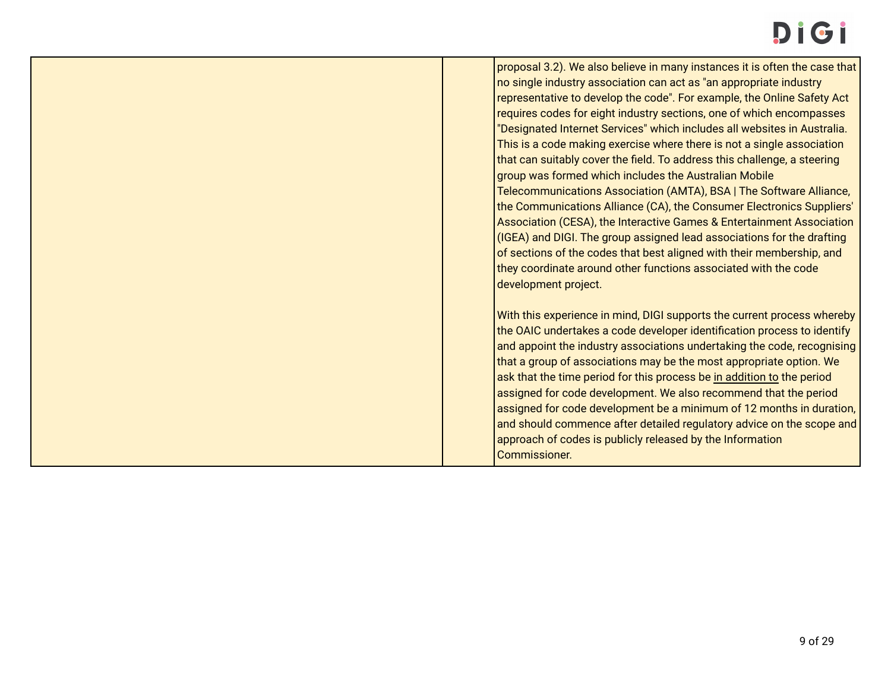# Di Gi

proposal 3.2). We also believe in many instances it is often the case that no single industry association can act as "an appropriate industry representative to develop the code". For example, the Online Safety Act requires codes for eight industry sections, one of which encompasses "Designated Internet Services" which includes all websites in Australia. This is a code making exercise where there is not a single association that can suitably cover the field. To address this challenge, a steering group was formed which includes the Australian Mobile Telecommunications Association (AMTA), BSA | The Software Alliance, the Communications Alliance (CA), the Consumer Electronics Suppliers' Association (CESA), the Interactive Games & Entertainment Association (IGEA) and DIGI. The group assigned lead associations for the drafting of sections of the codes that best aligned with their membership, and they coordinate around other functions associated with the code development project.

With this experience in mind, DIGI supports the current process whereby the OAIC undertakes a code developer identification process to identify and appoint the industry associations undertaking the code, recognising that a group of associations may be the most appropriate option. We ask that the time period for this process be in addition to the period assigned for code development. We also recommend that the period assigned for code development be a minimum of 12 months in duration, and should commence after detailed regulatory advice on the scope and approach of codes is publicly released by the Information Commissioner.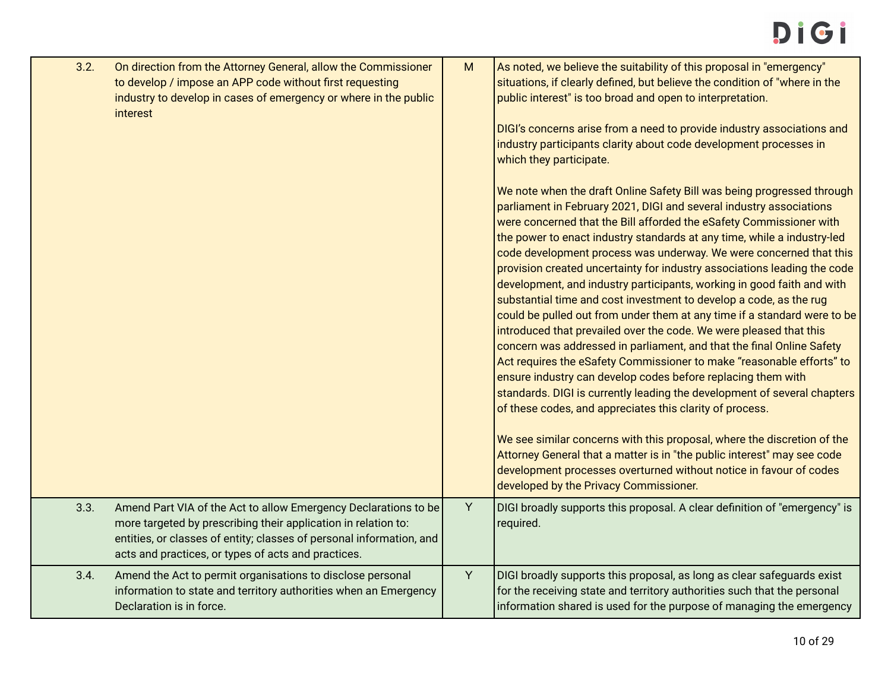| 3.2. | On direction from the Attorney General, allow the Commissioner<br>to develop / impose an APP code without first requesting<br>industry to develop in cases of emergency or where in the public<br>interest                                                       | ${\sf M}$ | As noted, we believe the suitability of this proposal in "emergency"<br>situations, if clearly defined, but believe the condition of "where in the<br>public interest" is too broad and open to interpretation.<br>DIGI's concerns arise from a need to provide industry associations and<br>industry participants clarity about code development processes in<br>which they participate.<br>We note when the draft Online Safety Bill was being progressed through<br>parliament in February 2021, DIGI and several industry associations<br>were concerned that the Bill afforded the eSafety Commissioner with<br>the power to enact industry standards at any time, while a industry-led<br>code development process was underway. We were concerned that this<br>provision created uncertainty for industry associations leading the code<br>development, and industry participants, working in good faith and with<br>substantial time and cost investment to develop a code, as the rug<br>could be pulled out from under them at any time if a standard were to be<br>introduced that prevailed over the code. We were pleased that this<br>concern was addressed in parliament, and that the final Online Safety<br>Act requires the eSafety Commissioner to make "reasonable efforts" to<br>ensure industry can develop codes before replacing them with<br>standards. DIGI is currently leading the development of several chapters<br>of these codes, and appreciates this clarity of process.<br>We see similar concerns with this proposal, where the discretion of the<br>Attorney General that a matter is in "the public interest" may see code<br>development processes overturned without notice in favour of codes<br>developed by the Privacy Commissioner. |
|------|------------------------------------------------------------------------------------------------------------------------------------------------------------------------------------------------------------------------------------------------------------------|-----------|----------------------------------------------------------------------------------------------------------------------------------------------------------------------------------------------------------------------------------------------------------------------------------------------------------------------------------------------------------------------------------------------------------------------------------------------------------------------------------------------------------------------------------------------------------------------------------------------------------------------------------------------------------------------------------------------------------------------------------------------------------------------------------------------------------------------------------------------------------------------------------------------------------------------------------------------------------------------------------------------------------------------------------------------------------------------------------------------------------------------------------------------------------------------------------------------------------------------------------------------------------------------------------------------------------------------------------------------------------------------------------------------------------------------------------------------------------------------------------------------------------------------------------------------------------------------------------------------------------------------------------------------------------------------------------------------------------------------------------------------------------------------------------|
| 3.3. | Amend Part VIA of the Act to allow Emergency Declarations to be<br>more targeted by prescribing their application in relation to:<br>entities, or classes of entity; classes of personal information, and<br>acts and practices, or types of acts and practices. | Y         | DIGI broadly supports this proposal. A clear definition of "emergency" is<br>required.                                                                                                                                                                                                                                                                                                                                                                                                                                                                                                                                                                                                                                                                                                                                                                                                                                                                                                                                                                                                                                                                                                                                                                                                                                                                                                                                                                                                                                                                                                                                                                                                                                                                                           |
| 3.4. | Amend the Act to permit organisations to disclose personal<br>information to state and territory authorities when an Emergency<br>Declaration is in force.                                                                                                       | Y         | DIGI broadly supports this proposal, as long as clear safeguards exist<br>for the receiving state and territory authorities such that the personal<br>information shared is used for the purpose of managing the emergency                                                                                                                                                                                                                                                                                                                                                                                                                                                                                                                                                                                                                                                                                                                                                                                                                                                                                                                                                                                                                                                                                                                                                                                                                                                                                                                                                                                                                                                                                                                                                       |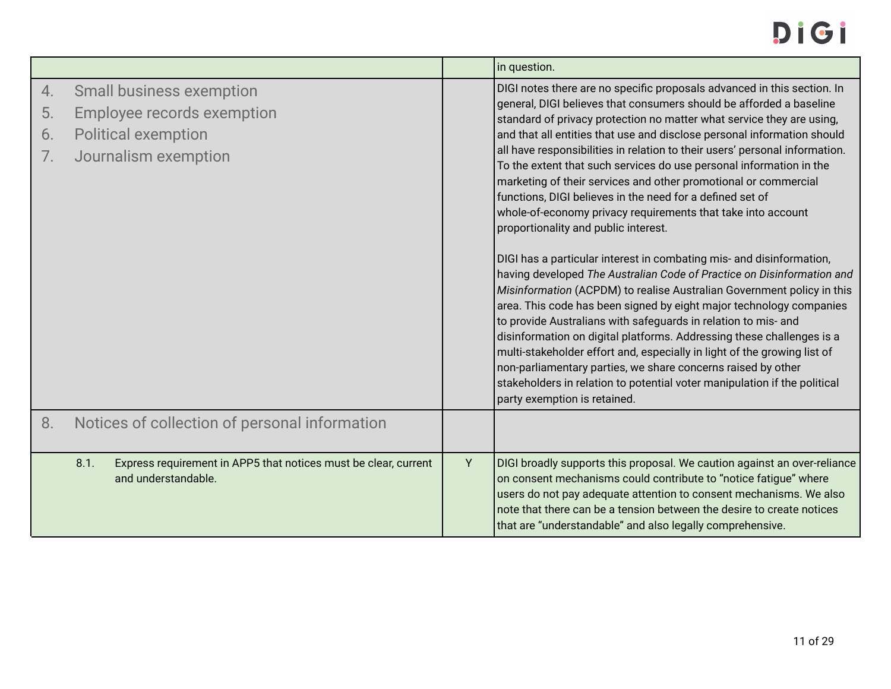|                      |                                                                                                                     |   | in question.                                                                                                                                                                                                                                                                                                                                                                                                                                                                                                                                                                                                                                                                                                                                                                                                                                                                                                                                                                                                                                                                                                                                                                                                                                                                                                                                                                                            |
|----------------------|---------------------------------------------------------------------------------------------------------------------|---|---------------------------------------------------------------------------------------------------------------------------------------------------------------------------------------------------------------------------------------------------------------------------------------------------------------------------------------------------------------------------------------------------------------------------------------------------------------------------------------------------------------------------------------------------------------------------------------------------------------------------------------------------------------------------------------------------------------------------------------------------------------------------------------------------------------------------------------------------------------------------------------------------------------------------------------------------------------------------------------------------------------------------------------------------------------------------------------------------------------------------------------------------------------------------------------------------------------------------------------------------------------------------------------------------------------------------------------------------------------------------------------------------------|
| 4.<br>5.<br>6.<br>7. | <b>Small business exemption</b><br>Employee records exemption<br><b>Political exemption</b><br>Journalism exemption |   | DIGI notes there are no specific proposals advanced in this section. In<br>general, DIGI believes that consumers should be afforded a baseline<br>standard of privacy protection no matter what service they are using,<br>and that all entities that use and disclose personal information should<br>all have responsibilities in relation to their users' personal information.<br>To the extent that such services do use personal information in the<br>marketing of their services and other promotional or commercial<br>functions, DIGI believes in the need for a defined set of<br>whole-of-economy privacy requirements that take into account<br>proportionality and public interest.<br>DIGI has a particular interest in combating mis- and disinformation,<br>having developed The Australian Code of Practice on Disinformation and<br>Misinformation (ACPDM) to realise Australian Government policy in this<br>area. This code has been signed by eight major technology companies<br>to provide Australians with safeguards in relation to mis- and<br>disinformation on digital platforms. Addressing these challenges is a<br>multi-stakeholder effort and, especially in light of the growing list of<br>non-parliamentary parties, we share concerns raised by other<br>stakeholders in relation to potential voter manipulation if the political<br>party exemption is retained. |
| 8.                   | Notices of collection of personal information                                                                       |   |                                                                                                                                                                                                                                                                                                                                                                                                                                                                                                                                                                                                                                                                                                                                                                                                                                                                                                                                                                                                                                                                                                                                                                                                                                                                                                                                                                                                         |
|                      | 8.1.<br>Express requirement in APP5 that notices must be clear, current<br>and understandable.                      | Υ | DIGI broadly supports this proposal. We caution against an over-reliance<br>on consent mechanisms could contribute to "notice fatigue" where<br>users do not pay adequate attention to consent mechanisms. We also<br>note that there can be a tension between the desire to create notices<br>that are "understandable" and also legally comprehensive.                                                                                                                                                                                                                                                                                                                                                                                                                                                                                                                                                                                                                                                                                                                                                                                                                                                                                                                                                                                                                                                |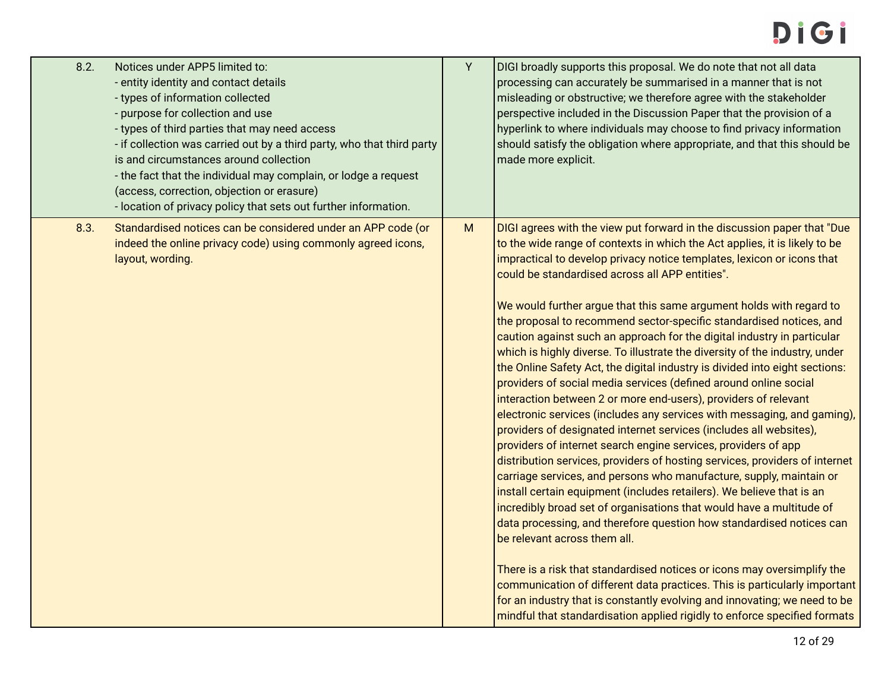## DIGI

| 8.2. | Notices under APP5 limited to:<br>- entity identity and contact details<br>- types of information collected<br>- purpose for collection and use<br>- types of third parties that may need access<br>- if collection was carried out by a third party, who that third party<br>is and circumstances around collection<br>- the fact that the individual may complain, or lodge a request<br>(access, correction, objection or erasure)<br>- location of privacy policy that sets out further information. | Y | DIGI broadly supports this proposal. We do note that not all data<br>processing can accurately be summarised in a manner that is not<br>misleading or obstructive; we therefore agree with the stakeholder<br>perspective included in the Discussion Paper that the provision of a<br>hyperlink to where individuals may choose to find privacy information<br>should satisfy the obligation where appropriate, and that this should be<br>made more explicit.                                                                                                                                                                                                                                                                                                                                                                                                                                                                                                                                                                                                                                                                                                                                                                                                                                                                                                                                                                                                                                                                                                                                                                                                                                                                                                       |
|------|----------------------------------------------------------------------------------------------------------------------------------------------------------------------------------------------------------------------------------------------------------------------------------------------------------------------------------------------------------------------------------------------------------------------------------------------------------------------------------------------------------|---|----------------------------------------------------------------------------------------------------------------------------------------------------------------------------------------------------------------------------------------------------------------------------------------------------------------------------------------------------------------------------------------------------------------------------------------------------------------------------------------------------------------------------------------------------------------------------------------------------------------------------------------------------------------------------------------------------------------------------------------------------------------------------------------------------------------------------------------------------------------------------------------------------------------------------------------------------------------------------------------------------------------------------------------------------------------------------------------------------------------------------------------------------------------------------------------------------------------------------------------------------------------------------------------------------------------------------------------------------------------------------------------------------------------------------------------------------------------------------------------------------------------------------------------------------------------------------------------------------------------------------------------------------------------------------------------------------------------------------------------------------------------------|
| 8.3. | Standardised notices can be considered under an APP code (or<br>indeed the online privacy code) using commonly agreed icons,<br>layout, wording.                                                                                                                                                                                                                                                                                                                                                         | M | DIGI agrees with the view put forward in the discussion paper that "Due<br>to the wide range of contexts in which the Act applies, it is likely to be<br>impractical to develop privacy notice templates, lexicon or icons that<br>could be standardised across all APP entities".<br>We would further argue that this same argument holds with regard to<br>the proposal to recommend sector-specific standardised notices, and<br>caution against such an approach for the digital industry in particular<br>which is highly diverse. To illustrate the diversity of the industry, under<br>the Online Safety Act, the digital industry is divided into eight sections:<br>providers of social media services (defined around online social<br>interaction between 2 or more end-users), providers of relevant<br>electronic services (includes any services with messaging, and gaming),<br>providers of designated internet services (includes all websites),<br>providers of internet search engine services, providers of app<br>distribution services, providers of hosting services, providers of internet<br>carriage services, and persons who manufacture, supply, maintain or<br>install certain equipment (includes retailers). We believe that is an<br>incredibly broad set of organisations that would have a multitude of<br>data processing, and therefore question how standardised notices can<br>be relevant across them all.<br>There is a risk that standardised notices or icons may oversimplify the<br>communication of different data practices. This is particularly important<br>for an industry that is constantly evolving and innovating; we need to be<br>mindful that standardisation applied rigidly to enforce specified formats |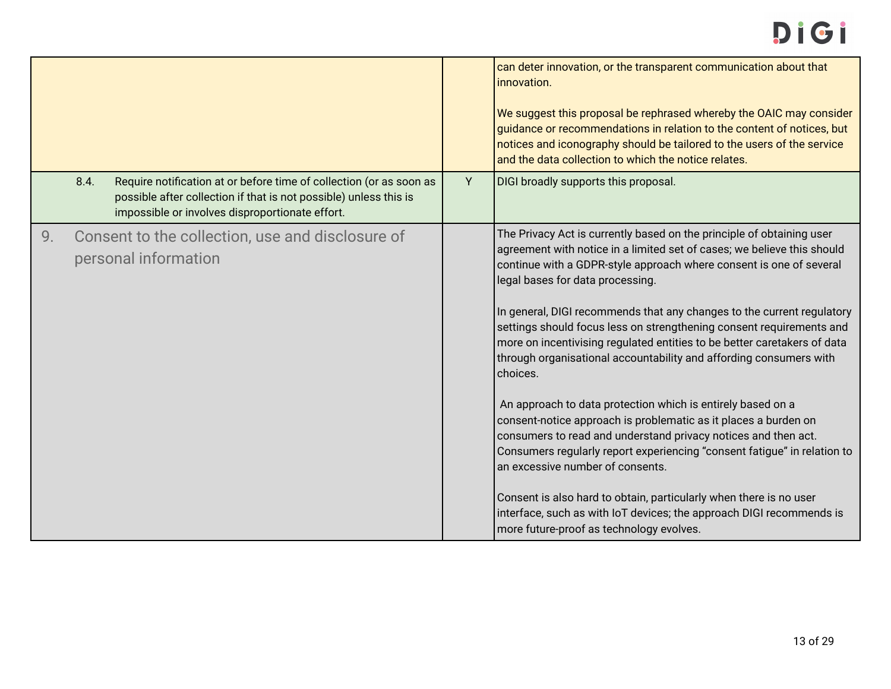|    |      |                                                                                                                                                                                             |   | can deter innovation, or the transparent communication about that<br>innovation.<br>We suggest this proposal be rephrased whereby the OAIC may consider<br>guidance or recommendations in relation to the content of notices, but<br>notices and iconography should be tailored to the users of the service<br>and the data collection to which the notice relates. |
|----|------|---------------------------------------------------------------------------------------------------------------------------------------------------------------------------------------------|---|---------------------------------------------------------------------------------------------------------------------------------------------------------------------------------------------------------------------------------------------------------------------------------------------------------------------------------------------------------------------|
|    | 8.4. | Require notification at or before time of collection (or as soon as<br>possible after collection if that is not possible) unless this is<br>impossible or involves disproportionate effort. | Y | DIGI broadly supports this proposal.                                                                                                                                                                                                                                                                                                                                |
| 9. |      | Consent to the collection, use and disclosure of<br>personal information                                                                                                                    |   | The Privacy Act is currently based on the principle of obtaining user<br>agreement with notice in a limited set of cases; we believe this should<br>continue with a GDPR-style approach where consent is one of several<br>legal bases for data processing.                                                                                                         |
|    |      |                                                                                                                                                                                             |   | In general, DIGI recommends that any changes to the current regulatory<br>settings should focus less on strengthening consent requirements and<br>more on incentivising regulated entities to be better caretakers of data<br>through organisational accountability and affording consumers with<br>choices.                                                        |
|    |      |                                                                                                                                                                                             |   | An approach to data protection which is entirely based on a<br>consent-notice approach is problematic as it places a burden on<br>consumers to read and understand privacy notices and then act.<br>Consumers regularly report experiencing "consent fatigue" in relation to<br>an excessive number of consents.                                                    |
|    |      |                                                                                                                                                                                             |   | Consent is also hard to obtain, particularly when there is no user<br>interface, such as with IoT devices; the approach DIGI recommends is<br>more future-proof as technology evolves.                                                                                                                                                                              |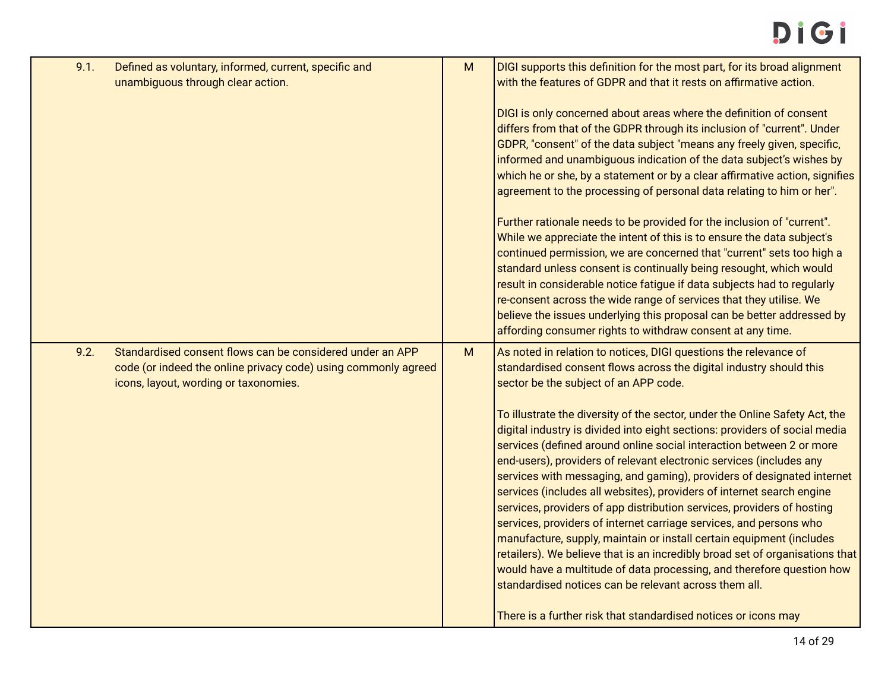| 9.1. | Defined as voluntary, informed, current, specific and<br>unambiguous through clear action.                                                                           | M | DIGI supports this definition for the most part, for its broad alignment<br>with the features of GDPR and that it rests on affirmative action.                                                                                                                                                                                                                                                                                                                                                                                                                                                                                                                                                                                                                                                                                                                                                        |
|------|----------------------------------------------------------------------------------------------------------------------------------------------------------------------|---|-------------------------------------------------------------------------------------------------------------------------------------------------------------------------------------------------------------------------------------------------------------------------------------------------------------------------------------------------------------------------------------------------------------------------------------------------------------------------------------------------------------------------------------------------------------------------------------------------------------------------------------------------------------------------------------------------------------------------------------------------------------------------------------------------------------------------------------------------------------------------------------------------------|
|      |                                                                                                                                                                      |   | DIGI is only concerned about areas where the definition of consent<br>differs from that of the GDPR through its inclusion of "current". Under<br>GDPR, "consent" of the data subject "means any freely given, specific,<br>informed and unambiguous indication of the data subject's wishes by<br>which he or she, by a statement or by a clear affirmative action, signifies<br>agreement to the processing of personal data relating to him or her".                                                                                                                                                                                                                                                                                                                                                                                                                                                |
|      |                                                                                                                                                                      |   | Further rationale needs to be provided for the inclusion of "current".<br>While we appreciate the intent of this is to ensure the data subject's<br>continued permission, we are concerned that "current" sets too high a<br>standard unless consent is continually being resought, which would<br>result in considerable notice fatigue if data subjects had to regularly<br>re-consent across the wide range of services that they utilise. We<br>believe the issues underlying this proposal can be better addressed by<br>affording consumer rights to withdraw consent at any time.                                                                                                                                                                                                                                                                                                              |
| 9.2. | Standardised consent flows can be considered under an APP<br>code (or indeed the online privacy code) using commonly agreed<br>icons, layout, wording or taxonomies. | M | As noted in relation to notices, DIGI questions the relevance of<br>standardised consent flows across the digital industry should this<br>sector be the subject of an APP code.                                                                                                                                                                                                                                                                                                                                                                                                                                                                                                                                                                                                                                                                                                                       |
|      |                                                                                                                                                                      |   | To illustrate the diversity of the sector, under the Online Safety Act, the<br>digital industry is divided into eight sections: providers of social media<br>services (defined around online social interaction between 2 or more<br>end-users), providers of relevant electronic services (includes any<br>services with messaging, and gaming), providers of designated internet<br>services (includes all websites), providers of internet search engine<br>services, providers of app distribution services, providers of hosting<br>services, providers of internet carriage services, and persons who<br>manufacture, supply, maintain or install certain equipment (includes<br>retailers). We believe that is an incredibly broad set of organisations that<br>would have a multitude of data processing, and therefore question how<br>standardised notices can be relevant across them all. |
|      |                                                                                                                                                                      |   | There is a further risk that standardised notices or icons may                                                                                                                                                                                                                                                                                                                                                                                                                                                                                                                                                                                                                                                                                                                                                                                                                                        |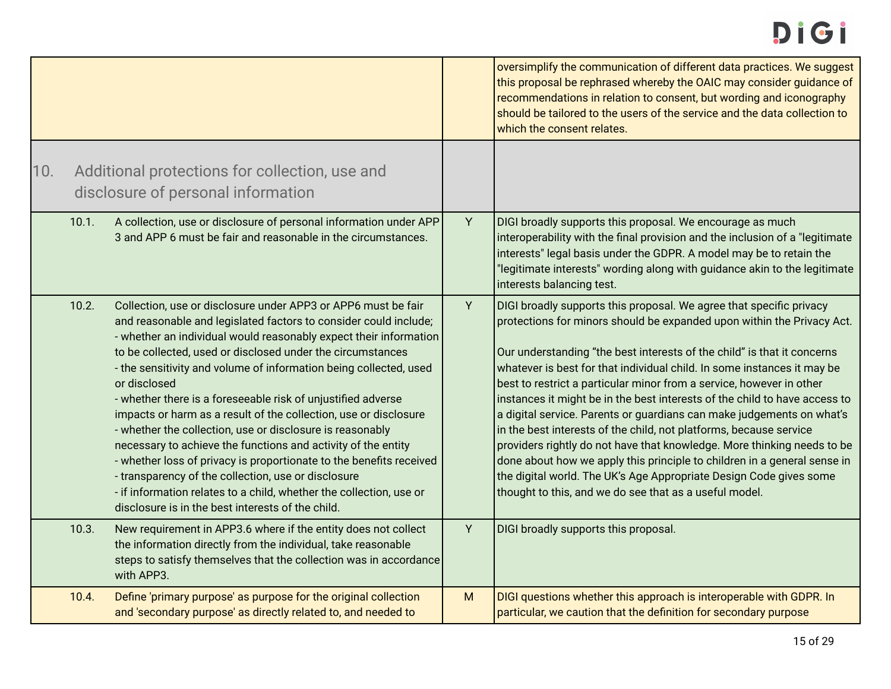<span id="page-14-0"></span>

|     |       |                                                                                                                                                                                                                                                                                                                                                                                                                                                                                                                                                                                                                                                                                                                                                                                                                                                                                       |   | oversimplify the communication of different data practices. We suggest<br>this proposal be rephrased whereby the OAIC may consider guidance of<br>recommendations in relation to consent, but wording and iconography<br>should be tailored to the users of the service and the data collection to<br>which the consent relates.                                                                                                                                                                                                                                                                                                                                                                                                                                                                                                                                                                |
|-----|-------|---------------------------------------------------------------------------------------------------------------------------------------------------------------------------------------------------------------------------------------------------------------------------------------------------------------------------------------------------------------------------------------------------------------------------------------------------------------------------------------------------------------------------------------------------------------------------------------------------------------------------------------------------------------------------------------------------------------------------------------------------------------------------------------------------------------------------------------------------------------------------------------|---|-------------------------------------------------------------------------------------------------------------------------------------------------------------------------------------------------------------------------------------------------------------------------------------------------------------------------------------------------------------------------------------------------------------------------------------------------------------------------------------------------------------------------------------------------------------------------------------------------------------------------------------------------------------------------------------------------------------------------------------------------------------------------------------------------------------------------------------------------------------------------------------------------|
| 10. |       | Additional protections for collection, use and<br>disclosure of personal information                                                                                                                                                                                                                                                                                                                                                                                                                                                                                                                                                                                                                                                                                                                                                                                                  |   |                                                                                                                                                                                                                                                                                                                                                                                                                                                                                                                                                                                                                                                                                                                                                                                                                                                                                                 |
|     | 10.1. | A collection, use or disclosure of personal information under APP<br>3 and APP 6 must be fair and reasonable in the circumstances.                                                                                                                                                                                                                                                                                                                                                                                                                                                                                                                                                                                                                                                                                                                                                    | Y | DIGI broadly supports this proposal. We encourage as much<br>interoperability with the final provision and the inclusion of a "legitimate<br>interests" legal basis under the GDPR. A model may be to retain the<br>"legitimate interests" wording along with guidance akin to the legitimate<br>interests balancing test.                                                                                                                                                                                                                                                                                                                                                                                                                                                                                                                                                                      |
|     | 10.2. | Collection, use or disclosure under APP3 or APP6 must be fair<br>and reasonable and legislated factors to consider could include;<br>- whether an individual would reasonably expect their information<br>to be collected, used or disclosed under the circumstances<br>- the sensitivity and volume of information being collected, used<br>or disclosed<br>- whether there is a foreseeable risk of unjustified adverse<br>impacts or harm as a result of the collection, use or disclosure<br>- whether the collection, use or disclosure is reasonably<br>necessary to achieve the functions and activity of the entity<br>- whether loss of privacy is proportionate to the benefits received<br>- transparency of the collection, use or disclosure<br>- if information relates to a child, whether the collection, use or<br>disclosure is in the best interests of the child. | Y | DIGI broadly supports this proposal. We agree that specific privacy<br>protections for minors should be expanded upon within the Privacy Act.<br>Our understanding "the best interests of the child" is that it concerns<br>whatever is best for that individual child. In some instances it may be<br>best to restrict a particular minor from a service, however in other<br>instances it might be in the best interests of the child to have access to<br>a digital service. Parents or guardians can make judgements on what's<br>in the best interests of the child, not platforms, because service<br>providers rightly do not have that knowledge. More thinking needs to be<br>done about how we apply this principle to children in a general sense in<br>the digital world. The UK's Age Appropriate Design Code gives some<br>thought to this, and we do see that as a useful model. |
|     | 10.3. | New requirement in APP3.6 where if the entity does not collect<br>the information directly from the individual, take reasonable<br>steps to satisfy themselves that the collection was in accordance<br>with APP3.                                                                                                                                                                                                                                                                                                                                                                                                                                                                                                                                                                                                                                                                    | Y | DIGI broadly supports this proposal.                                                                                                                                                                                                                                                                                                                                                                                                                                                                                                                                                                                                                                                                                                                                                                                                                                                            |
|     | 10.4. | Define 'primary purpose' as purpose for the original collection<br>and 'secondary purpose' as directly related to, and needed to                                                                                                                                                                                                                                                                                                                                                                                                                                                                                                                                                                                                                                                                                                                                                      | M | DIGI questions whether this approach is interoperable with GDPR. In<br>particular, we caution that the definition for secondary purpose                                                                                                                                                                                                                                                                                                                                                                                                                                                                                                                                                                                                                                                                                                                                                         |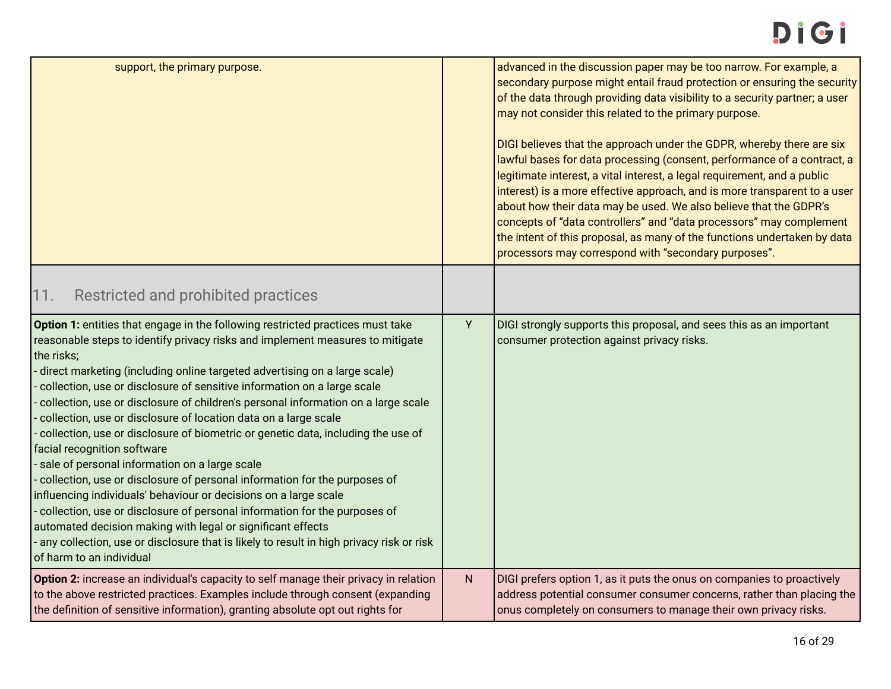<span id="page-15-0"></span>

| support, the primary purpose.                                                                                                                                                                                                                                                                                                                                                                                                                                                                                                                                                                                                                                                                                                                                                                                                                                                                                                                                                                                                                                                         |   | advanced in the discussion paper may be too narrow. For example, a<br>secondary purpose might entail fraud protection or ensuring the security<br>of the data through providing data visibility to a security partner; a user<br>may not consider this related to the primary purpose.<br>DIGI believes that the approach under the GDPR, whereby there are six<br>lawful bases for data processing (consent, performance of a contract, a<br>legitimate interest, a vital interest, a legal requirement, and a public<br>interest) is a more effective approach, and is more transparent to a user<br>about how their data may be used. We also believe that the GDPR's<br>concepts of "data controllers" and "data processors" may complement<br>the intent of this proposal, as many of the functions undertaken by data<br>processors may correspond with "secondary purposes". |
|---------------------------------------------------------------------------------------------------------------------------------------------------------------------------------------------------------------------------------------------------------------------------------------------------------------------------------------------------------------------------------------------------------------------------------------------------------------------------------------------------------------------------------------------------------------------------------------------------------------------------------------------------------------------------------------------------------------------------------------------------------------------------------------------------------------------------------------------------------------------------------------------------------------------------------------------------------------------------------------------------------------------------------------------------------------------------------------|---|-------------------------------------------------------------------------------------------------------------------------------------------------------------------------------------------------------------------------------------------------------------------------------------------------------------------------------------------------------------------------------------------------------------------------------------------------------------------------------------------------------------------------------------------------------------------------------------------------------------------------------------------------------------------------------------------------------------------------------------------------------------------------------------------------------------------------------------------------------------------------------------|
| 11.<br>Restricted and prohibited practices                                                                                                                                                                                                                                                                                                                                                                                                                                                                                                                                                                                                                                                                                                                                                                                                                                                                                                                                                                                                                                            |   |                                                                                                                                                                                                                                                                                                                                                                                                                                                                                                                                                                                                                                                                                                                                                                                                                                                                                     |
| Option 1: entities that engage in the following restricted practices must take<br>reasonable steps to identify privacy risks and implement measures to mitigate<br>the risks;<br>direct marketing (including online targeted advertising on a large scale)<br>collection, use or disclosure of sensitive information on a large scale<br>collection, use or disclosure of children's personal information on a large scale<br>collection, use or disclosure of location data on a large scale<br>collection, use or disclosure of biometric or genetic data, including the use of<br>facial recognition software<br>sale of personal information on a large scale<br>collection, use or disclosure of personal information for the purposes of<br>influencing individuals' behaviour or decisions on a large scale<br>collection, use or disclosure of personal information for the purposes of<br>automated decision making with legal or significant effects<br>any collection, use or disclosure that is likely to result in high privacy risk or risk<br>of harm to an individual | Y | DIGI strongly supports this proposal, and sees this as an important<br>consumer protection against privacy risks.                                                                                                                                                                                                                                                                                                                                                                                                                                                                                                                                                                                                                                                                                                                                                                   |
| Option 2: increase an individual's capacity to self manage their privacy in relation<br>to the above restricted practices. Examples include through consent (expanding<br>the definition of sensitive information), granting absolute opt out rights for                                                                                                                                                                                                                                                                                                                                                                                                                                                                                                                                                                                                                                                                                                                                                                                                                              | N | DIGI prefers option 1, as it puts the onus on companies to proactively<br>address potential consumer consumer concerns, rather than placing the<br>onus completely on consumers to manage their own privacy risks.                                                                                                                                                                                                                                                                                                                                                                                                                                                                                                                                                                                                                                                                  |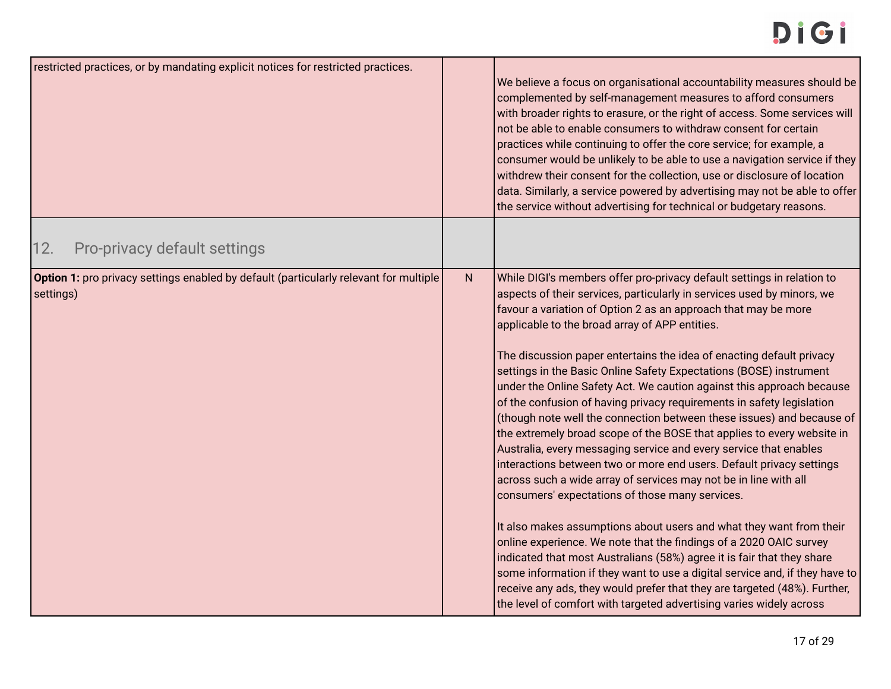<span id="page-16-0"></span>

| restricted practices, or by mandating explicit notices for restricted practices.                   |   | We believe a focus on organisational accountability measures should be<br>complemented by self-management measures to afford consumers<br>with broader rights to erasure, or the right of access. Some services will<br>not be able to enable consumers to withdraw consent for certain<br>practices while continuing to offer the core service; for example, a<br>consumer would be unlikely to be able to use a navigation service if they<br>withdrew their consent for the collection, use or disclosure of location<br>data. Similarly, a service powered by advertising may not be able to offer<br>the service without advertising for technical or budgetary reasons.                                                                                                                                                                                                                                                                                                                                                                                                                                                                                                                                                                                                                                                                                                                                                                         |
|----------------------------------------------------------------------------------------------------|---|-------------------------------------------------------------------------------------------------------------------------------------------------------------------------------------------------------------------------------------------------------------------------------------------------------------------------------------------------------------------------------------------------------------------------------------------------------------------------------------------------------------------------------------------------------------------------------------------------------------------------------------------------------------------------------------------------------------------------------------------------------------------------------------------------------------------------------------------------------------------------------------------------------------------------------------------------------------------------------------------------------------------------------------------------------------------------------------------------------------------------------------------------------------------------------------------------------------------------------------------------------------------------------------------------------------------------------------------------------------------------------------------------------------------------------------------------------|
| Pro-privacy default settings<br>12.                                                                |   |                                                                                                                                                                                                                                                                                                                                                                                                                                                                                                                                                                                                                                                                                                                                                                                                                                                                                                                                                                                                                                                                                                                                                                                                                                                                                                                                                                                                                                                       |
| Option 1: pro privacy settings enabled by default (particularly relevant for multiple<br>settings) | N | While DIGI's members offer pro-privacy default settings in relation to<br>aspects of their services, particularly in services used by minors, we<br>favour a variation of Option 2 as an approach that may be more<br>applicable to the broad array of APP entities.<br>The discussion paper entertains the idea of enacting default privacy<br>settings in the Basic Online Safety Expectations (BOSE) instrument<br>under the Online Safety Act. We caution against this approach because<br>of the confusion of having privacy requirements in safety legislation<br>(though note well the connection between these issues) and because of<br>the extremely broad scope of the BOSE that applies to every website in<br>Australia, every messaging service and every service that enables<br>interactions between two or more end users. Default privacy settings<br>across such a wide array of services may not be in line with all<br>consumers' expectations of those many services.<br>It also makes assumptions about users and what they want from their<br>online experience. We note that the findings of a 2020 OAIC survey<br>indicated that most Australians (58%) agree it is fair that they share<br>some information if they want to use a digital service and, if they have to<br>receive any ads, they would prefer that they are targeted (48%). Further,<br>the level of comfort with targeted advertising varies widely across |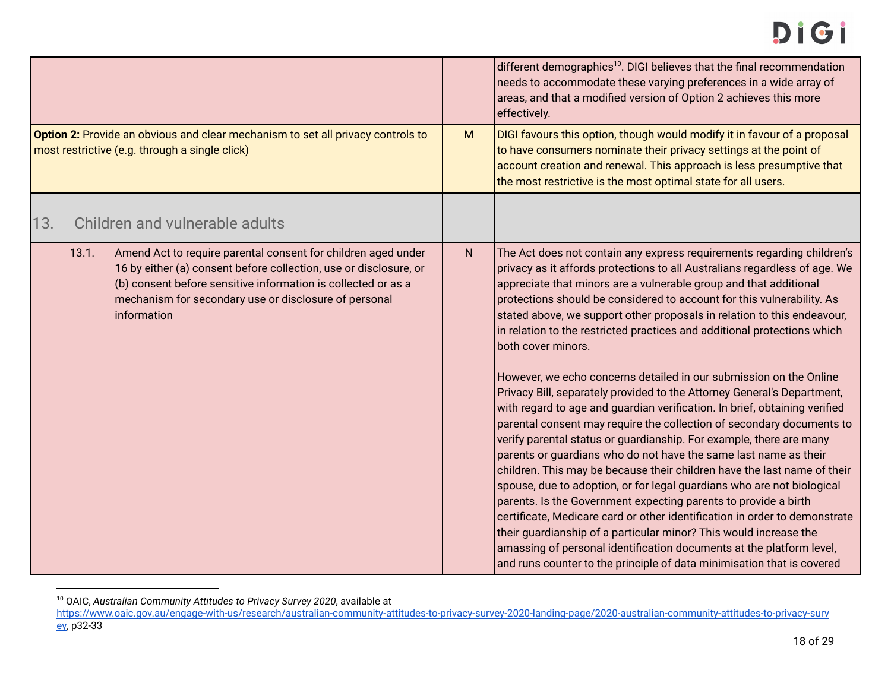|                                                                                                                                                                                                                                                                                      |           | different demographics <sup>10</sup> . DIGI believes that the final recommendation<br>needs to accommodate these varying preferences in a wide array of<br>areas, and that a modified version of Option 2 achieves this more<br>effectively.                                                                                                                                                                                                                                                                                                                                                                                                                                                                                                                                                                                                                                                                                                                                                                                                                                                                                                                                                                                                                                                                                                                                                                                                                      |
|--------------------------------------------------------------------------------------------------------------------------------------------------------------------------------------------------------------------------------------------------------------------------------------|-----------|-------------------------------------------------------------------------------------------------------------------------------------------------------------------------------------------------------------------------------------------------------------------------------------------------------------------------------------------------------------------------------------------------------------------------------------------------------------------------------------------------------------------------------------------------------------------------------------------------------------------------------------------------------------------------------------------------------------------------------------------------------------------------------------------------------------------------------------------------------------------------------------------------------------------------------------------------------------------------------------------------------------------------------------------------------------------------------------------------------------------------------------------------------------------------------------------------------------------------------------------------------------------------------------------------------------------------------------------------------------------------------------------------------------------------------------------------------------------|
| Option 2: Provide an obvious and clear mechanism to set all privacy controls to<br>most restrictive (e.g. through a single click)                                                                                                                                                    |           | DIGI favours this option, though would modify it in favour of a proposal<br>to have consumers nominate their privacy settings at the point of<br>account creation and renewal. This approach is less presumptive that<br>the most restrictive is the most optimal state for all users.                                                                                                                                                                                                                                                                                                                                                                                                                                                                                                                                                                                                                                                                                                                                                                                                                                                                                                                                                                                                                                                                                                                                                                            |
| Children and vulnerable adults<br>13.                                                                                                                                                                                                                                                |           |                                                                                                                                                                                                                                                                                                                                                                                                                                                                                                                                                                                                                                                                                                                                                                                                                                                                                                                                                                                                                                                                                                                                                                                                                                                                                                                                                                                                                                                                   |
| 13.1.<br>Amend Act to require parental consent for children aged under<br>16 by either (a) consent before collection, use or disclosure, or<br>(b) consent before sensitive information is collected or as a<br>mechanism for secondary use or disclosure of personal<br>information | ${\sf N}$ | The Act does not contain any express requirements regarding children's<br>privacy as it affords protections to all Australians regardless of age. We<br>appreciate that minors are a vulnerable group and that additional<br>protections should be considered to account for this vulnerability. As<br>stated above, we support other proposals in relation to this endeavour,<br>in relation to the restricted practices and additional protections which<br>both cover minors.<br>However, we echo concerns detailed in our submission on the Online<br>Privacy Bill, separately provided to the Attorney General's Department,<br>with regard to age and guardian verification. In brief, obtaining verified<br>parental consent may require the collection of secondary documents to<br>verify parental status or guardianship. For example, there are many<br>parents or guardians who do not have the same last name as their<br>children. This may be because their children have the last name of their<br>spouse, due to adoption, or for legal guardians who are not biological<br>parents. Is the Government expecting parents to provide a birth<br>certificate, Medicare card or other identification in order to demonstrate<br>their guardianship of a particular minor? This would increase the<br>amassing of personal identification documents at the platform level,<br>and runs counter to the principle of data minimisation that is covered |

<span id="page-17-0"></span><sup>10</sup> OAIC, *Australian Community Attitudes to Privacy Survey 2020*, available at

[https://www.oaic.gov.au/engage-with-us/research/australian-community-attitudes-to-privacy-survey-2020-landing-page/2020-australian-community-attitudes-to-privacy-surv](https://www.oaic.gov.au/engage-with-us/research/australian-community-attitudes-to-privacy-survey-2020-landing-page/2020-australian-community-attitudes-to-privacy-survey) [ey](https://www.oaic.gov.au/engage-with-us/research/australian-community-attitudes-to-privacy-survey-2020-landing-page/2020-australian-community-attitudes-to-privacy-survey), p32-33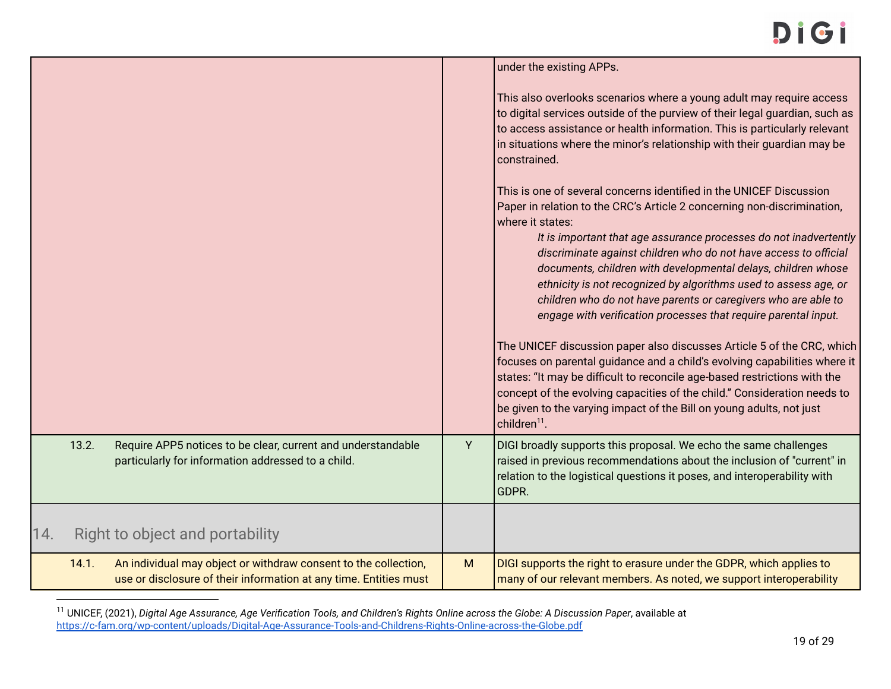|     |       |                                                                                                                                      |   | under the existing APPs.                                                                                                                                                                                                                                                                                                                                                                                                                                                                                                                                                                                                                                                                                                                                                                                                                                                                                                                                                                                  |
|-----|-------|--------------------------------------------------------------------------------------------------------------------------------------|---|-----------------------------------------------------------------------------------------------------------------------------------------------------------------------------------------------------------------------------------------------------------------------------------------------------------------------------------------------------------------------------------------------------------------------------------------------------------------------------------------------------------------------------------------------------------------------------------------------------------------------------------------------------------------------------------------------------------------------------------------------------------------------------------------------------------------------------------------------------------------------------------------------------------------------------------------------------------------------------------------------------------|
|     |       |                                                                                                                                      |   | This also overlooks scenarios where a young adult may require access<br>to digital services outside of the purview of their legal guardian, such as<br>to access assistance or health information. This is particularly relevant<br>in situations where the minor's relationship with their guardian may be<br>constrained.                                                                                                                                                                                                                                                                                                                                                                                                                                                                                                                                                                                                                                                                               |
|     |       |                                                                                                                                      |   | This is one of several concerns identified in the UNICEF Discussion<br>Paper in relation to the CRC's Article 2 concerning non-discrimination,<br>where it states:<br>It is important that age assurance processes do not inadvertently<br>discriminate against children who do not have access to official<br>documents, children with developmental delays, children whose<br>ethnicity is not recognized by algorithms used to assess age, or<br>children who do not have parents or caregivers who are able to<br>engage with verification processes that require parental input.<br>The UNICEF discussion paper also discusses Article 5 of the CRC, which<br>focuses on parental guidance and a child's evolving capabilities where it<br>states: "It may be difficult to reconcile age-based restrictions with the<br>concept of the evolving capacities of the child." Consideration needs to<br>be given to the varying impact of the Bill on young adults, not just<br>children <sup>11</sup> . |
|     | 13.2. | Require APP5 notices to be clear, current and understandable<br>particularly for information addressed to a child.                   | Y | DIGI broadly supports this proposal. We echo the same challenges<br>raised in previous recommendations about the inclusion of "current" in<br>relation to the logistical questions it poses, and interoperability with<br>GDPR.                                                                                                                                                                                                                                                                                                                                                                                                                                                                                                                                                                                                                                                                                                                                                                           |
| 14. |       | Right to object and portability                                                                                                      |   |                                                                                                                                                                                                                                                                                                                                                                                                                                                                                                                                                                                                                                                                                                                                                                                                                                                                                                                                                                                                           |
|     | 14.1. | An individual may object or withdraw consent to the collection,<br>use or disclosure of their information at any time. Entities must | M | DIGI supports the right to erasure under the GDPR, which applies to<br>many of our relevant members. As noted, we support interoperability                                                                                                                                                                                                                                                                                                                                                                                                                                                                                                                                                                                                                                                                                                                                                                                                                                                                |

<sup>11</sup> UNICEF, (2021), *Digital Age Assurance, Age Verification Tools, and Children's Rights Online across the Globe: A Discussion Paper*, available at <https://c-fam.org/wp-content/uploads/Digital-Age-Assurance-Tools-and-Childrens-Rights-Online-across-the-Globe.pdf>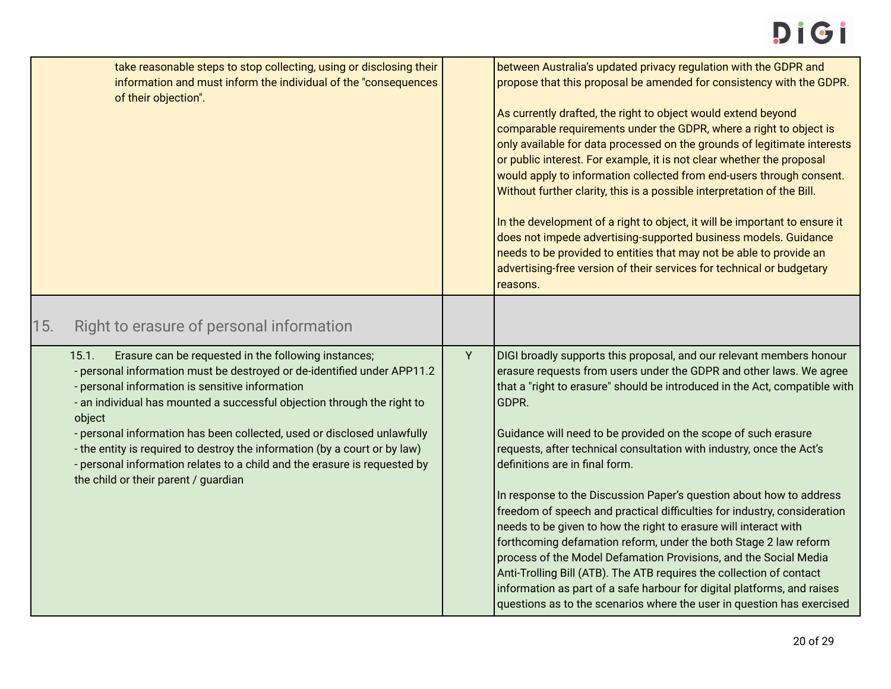<span id="page-19-0"></span>

| take reasonable steps to stop collecting, using or disclosing their<br>information and must inform the individual of the "consequences<br>of their objection".                                                                                                                                                                                                                                                                                                                                                                                                 | between Australia's updated privacy regulation with the GDPR and<br>propose that this proposal be amended for consistency with the GDPR.<br>As currently drafted, the right to object would extend beyond<br>comparable requirements under the GDPR, where a right to object is<br>only available for data processed on the grounds of legitimate interests<br>or public interest. For example, it is not clear whether the proposal<br>would apply to information collected from end-users through consent.<br>Without further clarity, this is a possible interpretation of the Bill.<br>In the development of a right to object, it will be important to ensure it<br>does not impede advertising-supported business models. Guidance<br>needs to be provided to entities that may not be able to provide an<br>advertising-free version of their services for technical or budgetary<br>reasons.                                                                                                            |
|----------------------------------------------------------------------------------------------------------------------------------------------------------------------------------------------------------------------------------------------------------------------------------------------------------------------------------------------------------------------------------------------------------------------------------------------------------------------------------------------------------------------------------------------------------------|-----------------------------------------------------------------------------------------------------------------------------------------------------------------------------------------------------------------------------------------------------------------------------------------------------------------------------------------------------------------------------------------------------------------------------------------------------------------------------------------------------------------------------------------------------------------------------------------------------------------------------------------------------------------------------------------------------------------------------------------------------------------------------------------------------------------------------------------------------------------------------------------------------------------------------------------------------------------------------------------------------------------|
| 15.<br>Right to erasure of personal information                                                                                                                                                                                                                                                                                                                                                                                                                                                                                                                |                                                                                                                                                                                                                                                                                                                                                                                                                                                                                                                                                                                                                                                                                                                                                                                                                                                                                                                                                                                                                 |
| 15.1.<br>Erasure can be requested in the following instances;<br>- personal information must be destroyed or de-identified under APP11.2<br>- personal information is sensitive information<br>- an individual has mounted a successful objection through the right to<br>object<br>- personal information has been collected, used or disclosed unlawfully<br>- the entity is required to destroy the information (by a court or by law)<br>- personal information relates to a child and the erasure is requested by<br>the child or their parent / guardian | Y<br>DIGI broadly supports this proposal, and our relevant members honour<br>erasure requests from users under the GDPR and other laws. We agree<br>that a "right to erasure" should be introduced in the Act, compatible with<br>GDPR.<br>Guidance will need to be provided on the scope of such erasure<br>requests, after technical consultation with industry, once the Act's<br>definitions are in final form.<br>In response to the Discussion Paper's question about how to address<br>freedom of speech and practical difficulties for industry, consideration<br>needs to be given to how the right to erasure will interact with<br>forthcoming defamation reform, under the both Stage 2 law reform<br>process of the Model Defamation Provisions, and the Social Media<br>Anti-Trolling Bill (ATB). The ATB requires the collection of contact<br>information as part of a safe harbour for digital platforms, and raises<br>questions as to the scenarios where the user in question has exercised |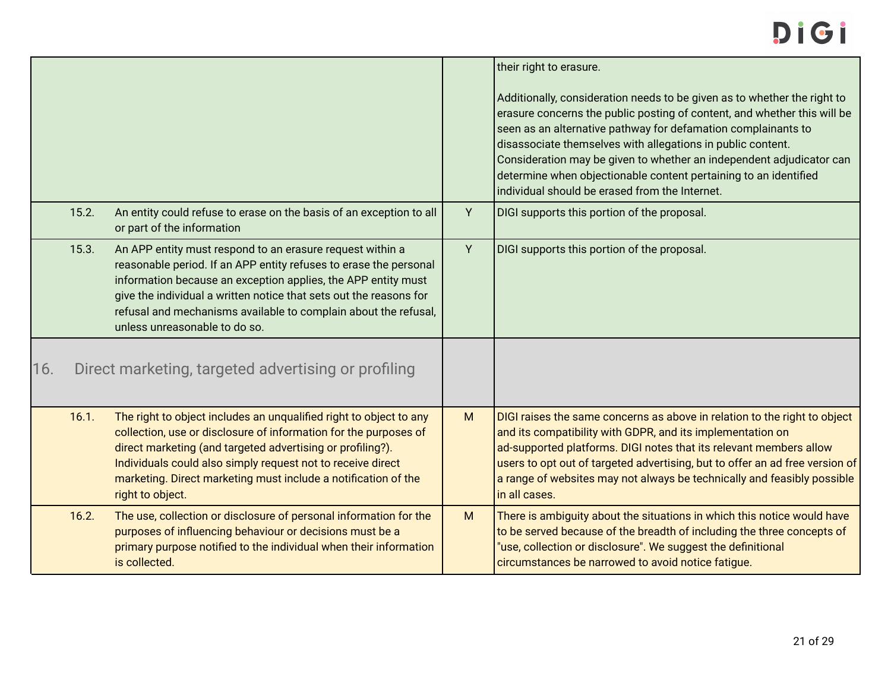<span id="page-20-0"></span>

|     |       |                                                                                                                                                                                                                                                                                                                                                                           |   | their right to erasure.<br>Additionally, consideration needs to be given as to whether the right to<br>erasure concerns the public posting of content, and whether this will be<br>seen as an alternative pathway for defamation complainants to<br>disassociate themselves with allegations in public content.<br>Consideration may be given to whether an independent adjudicator can<br>determine when objectionable content pertaining to an identified<br>individual should be erased from the Internet. |
|-----|-------|---------------------------------------------------------------------------------------------------------------------------------------------------------------------------------------------------------------------------------------------------------------------------------------------------------------------------------------------------------------------------|---|---------------------------------------------------------------------------------------------------------------------------------------------------------------------------------------------------------------------------------------------------------------------------------------------------------------------------------------------------------------------------------------------------------------------------------------------------------------------------------------------------------------|
|     | 15.2. | An entity could refuse to erase on the basis of an exception to all<br>or part of the information                                                                                                                                                                                                                                                                         | Y | DIGI supports this portion of the proposal.                                                                                                                                                                                                                                                                                                                                                                                                                                                                   |
|     | 15.3. | An APP entity must respond to an erasure request within a<br>reasonable period. If an APP entity refuses to erase the personal<br>information because an exception applies, the APP entity must<br>give the individual a written notice that sets out the reasons for<br>refusal and mechanisms available to complain about the refusal,<br>unless unreasonable to do so. | Υ | DIGI supports this portion of the proposal.                                                                                                                                                                                                                                                                                                                                                                                                                                                                   |
| 16. |       | Direct marketing, targeted advertising or profiling                                                                                                                                                                                                                                                                                                                       |   |                                                                                                                                                                                                                                                                                                                                                                                                                                                                                                               |
|     | 16.1. | The right to object includes an unqualified right to object to any<br>collection, use or disclosure of information for the purposes of<br>direct marketing (and targeted advertising or profiling?).<br>Individuals could also simply request not to receive direct<br>marketing. Direct marketing must include a notification of the<br>right to object.                 | M | DIGI raises the same concerns as above in relation to the right to object<br>and its compatibility with GDPR, and its implementation on<br>ad-supported platforms. DIGI notes that its relevant members allow<br>users to opt out of targeted advertising, but to offer an ad free version of<br>a range of websites may not always be technically and feasibly possible<br>in all cases.                                                                                                                     |
|     | 16.2. | The use, collection or disclosure of personal information for the<br>purposes of influencing behaviour or decisions must be a<br>primary purpose notified to the individual when their information<br>is collected.                                                                                                                                                       | M | There is ambiguity about the situations in which this notice would have<br>to be served because of the breadth of including the three concepts of<br>"use, collection or disclosure". We suggest the definitional<br>circumstances be narrowed to avoid notice fatigue.                                                                                                                                                                                                                                       |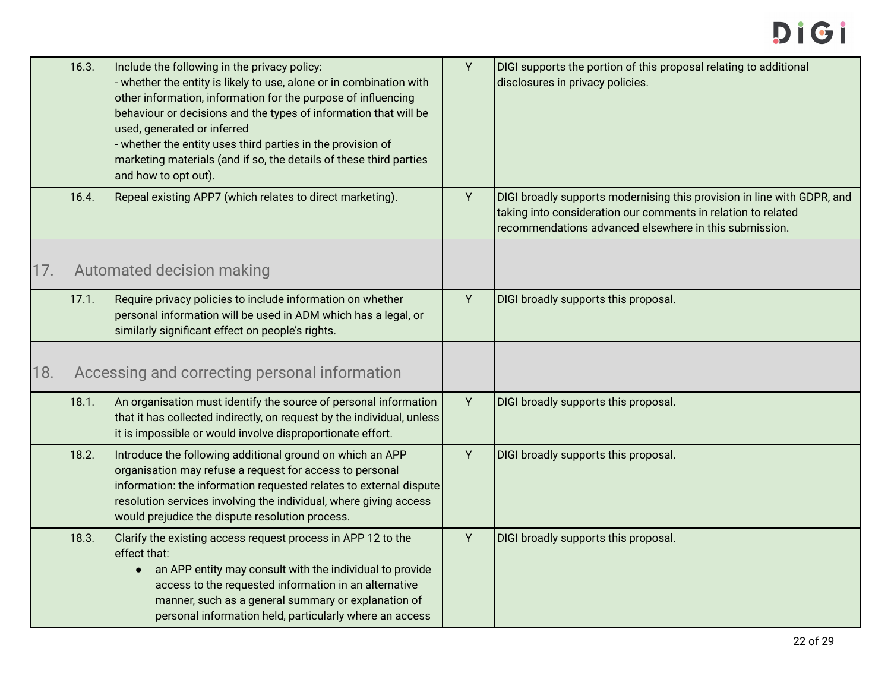<span id="page-21-1"></span><span id="page-21-0"></span>

|     | 16.3. | Include the following in the privacy policy:<br>- whether the entity is likely to use, alone or in combination with<br>other information, information for the purpose of influencing<br>behaviour or decisions and the types of information that will be<br>used, generated or inferred<br>- whether the entity uses third parties in the provision of<br>marketing materials (and if so, the details of these third parties<br>and how to opt out). | Y | DIGI supports the portion of this proposal relating to additional<br>disclosures in privacy policies.                                                                                              |
|-----|-------|------------------------------------------------------------------------------------------------------------------------------------------------------------------------------------------------------------------------------------------------------------------------------------------------------------------------------------------------------------------------------------------------------------------------------------------------------|---|----------------------------------------------------------------------------------------------------------------------------------------------------------------------------------------------------|
|     | 16.4. | Repeal existing APP7 (which relates to direct marketing).                                                                                                                                                                                                                                                                                                                                                                                            | Y | DIGI broadly supports modernising this provision in line with GDPR, and<br>taking into consideration our comments in relation to related<br>recommendations advanced elsewhere in this submission. |
| 17. |       | Automated decision making                                                                                                                                                                                                                                                                                                                                                                                                                            |   |                                                                                                                                                                                                    |
|     | 17.1. | Require privacy policies to include information on whether<br>personal information will be used in ADM which has a legal, or<br>similarly significant effect on people's rights.                                                                                                                                                                                                                                                                     | Y | DIGI broadly supports this proposal.                                                                                                                                                               |
| 18. |       | Accessing and correcting personal information                                                                                                                                                                                                                                                                                                                                                                                                        |   |                                                                                                                                                                                                    |
|     | 18.1. | An organisation must identify the source of personal information<br>that it has collected indirectly, on request by the individual, unless<br>it is impossible or would involve disproportionate effort.                                                                                                                                                                                                                                             | Y | DIGI broadly supports this proposal.                                                                                                                                                               |
|     | 18.2. | Introduce the following additional ground on which an APP<br>organisation may refuse a request for access to personal<br>information: the information requested relates to external dispute<br>resolution services involving the individual, where giving access<br>would prejudice the dispute resolution process.                                                                                                                                  | Y | DIGI broadly supports this proposal.                                                                                                                                                               |
|     | 18.3. | Clarify the existing access request process in APP 12 to the<br>effect that:<br>• an APP entity may consult with the individual to provide<br>access to the requested information in an alternative<br>manner, such as a general summary or explanation of<br>personal information held, particularly where an access                                                                                                                                | Y | DIGI broadly supports this proposal.                                                                                                                                                               |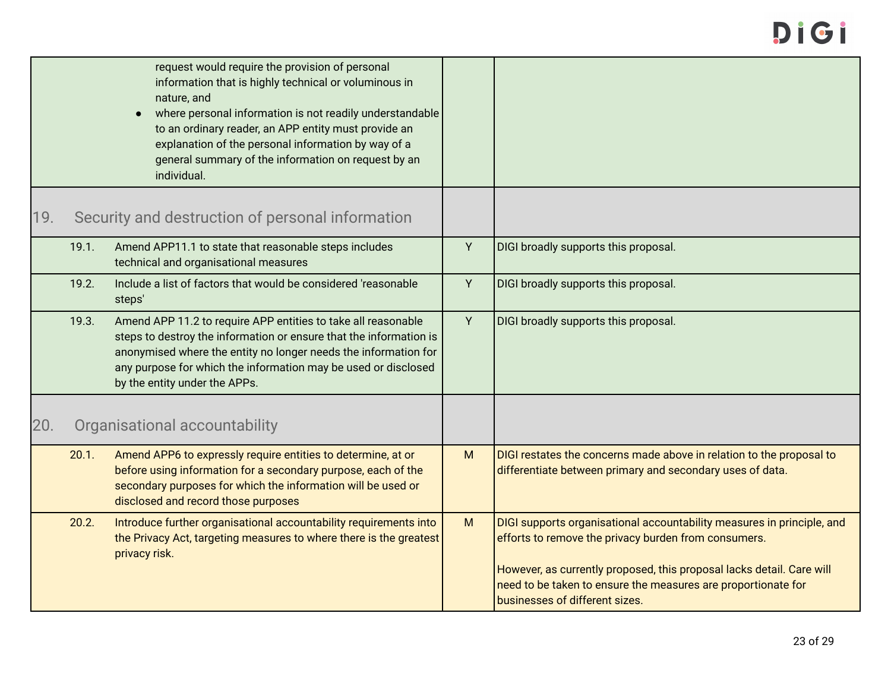<span id="page-22-1"></span><span id="page-22-0"></span>

|     |       | request would require the provision of personal<br>information that is highly technical or voluminous in<br>nature, and<br>where personal information is not readily understandable<br>to an ordinary reader, an APP entity must provide an<br>explanation of the personal information by way of a<br>general summary of the information on request by an<br>individual. |   |                                                                                                                                                                                                                                                                                                            |
|-----|-------|--------------------------------------------------------------------------------------------------------------------------------------------------------------------------------------------------------------------------------------------------------------------------------------------------------------------------------------------------------------------------|---|------------------------------------------------------------------------------------------------------------------------------------------------------------------------------------------------------------------------------------------------------------------------------------------------------------|
| 19. |       | Security and destruction of personal information                                                                                                                                                                                                                                                                                                                         |   |                                                                                                                                                                                                                                                                                                            |
|     | 19.1. | Amend APP11.1 to state that reasonable steps includes<br>technical and organisational measures                                                                                                                                                                                                                                                                           | Y | DIGI broadly supports this proposal.                                                                                                                                                                                                                                                                       |
|     | 19.2. | Include a list of factors that would be considered 'reasonable<br>steps'                                                                                                                                                                                                                                                                                                 | Y | DIGI broadly supports this proposal.                                                                                                                                                                                                                                                                       |
|     | 19.3. | Amend APP 11.2 to require APP entities to take all reasonable<br>steps to destroy the information or ensure that the information is<br>anonymised where the entity no longer needs the information for<br>any purpose for which the information may be used or disclosed<br>by the entity under the APPs.                                                                | Y | DIGI broadly supports this proposal.                                                                                                                                                                                                                                                                       |
| 20. |       | Organisational accountability                                                                                                                                                                                                                                                                                                                                            |   |                                                                                                                                                                                                                                                                                                            |
|     | 20.1. | Amend APP6 to expressly require entities to determine, at or<br>before using information for a secondary purpose, each of the<br>secondary purposes for which the information will be used or<br>disclosed and record those purposes                                                                                                                                     | M | DIGI restates the concerns made above in relation to the proposal to<br>differentiate between primary and secondary uses of data.                                                                                                                                                                          |
|     | 20.2. | Introduce further organisational accountability requirements into<br>the Privacy Act, targeting measures to where there is the greatest<br>privacy risk.                                                                                                                                                                                                                 | M | DIGI supports organisational accountability measures in principle, and<br>efforts to remove the privacy burden from consumers.<br>However, as currently proposed, this proposal lacks detail. Care will<br>need to be taken to ensure the measures are proportionate for<br>businesses of different sizes. |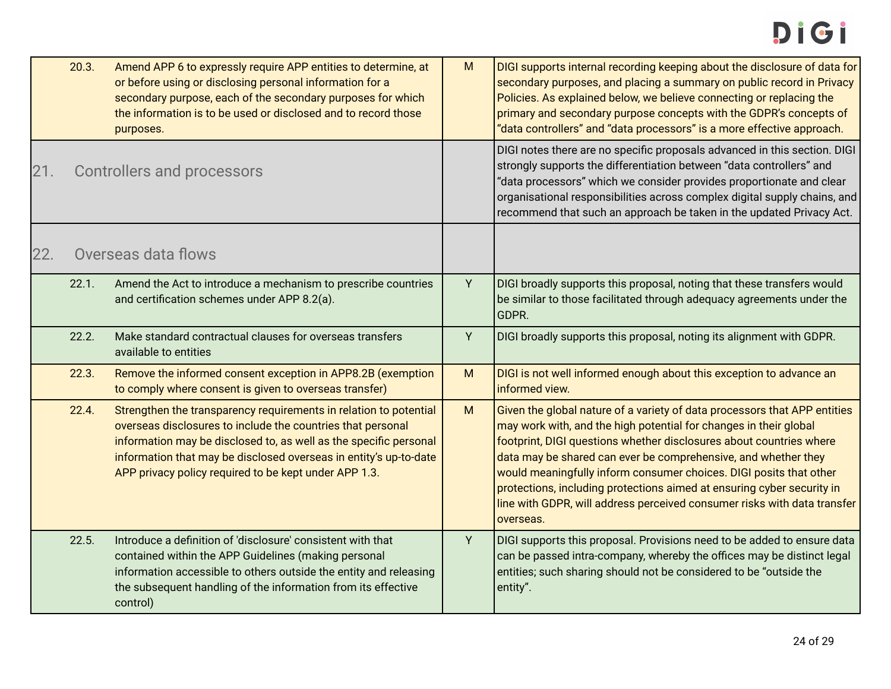<span id="page-23-1"></span><span id="page-23-0"></span>

|     | 20.3. | Amend APP 6 to expressly require APP entities to determine, at<br>or before using or disclosing personal information for a<br>secondary purpose, each of the secondary purposes for which<br>the information is to be used or disclosed and to record those<br>purposes.                                                            | M | DIGI supports internal recording keeping about the disclosure of data for<br>secondary purposes, and placing a summary on public record in Privacy<br>Policies. As explained below, we believe connecting or replacing the<br>primary and secondary purpose concepts with the GDPR's concepts of<br>"data controllers" and "data processors" is a more effective approach.                                                                                                                                                       |
|-----|-------|-------------------------------------------------------------------------------------------------------------------------------------------------------------------------------------------------------------------------------------------------------------------------------------------------------------------------------------|---|----------------------------------------------------------------------------------------------------------------------------------------------------------------------------------------------------------------------------------------------------------------------------------------------------------------------------------------------------------------------------------------------------------------------------------------------------------------------------------------------------------------------------------|
| 21. |       | <b>Controllers and processors</b>                                                                                                                                                                                                                                                                                                   |   | DIGI notes there are no specific proposals advanced in this section. DIGI<br>strongly supports the differentiation between "data controllers" and<br>"data processors" which we consider provides proportionate and clear<br>organisational responsibilities across complex digital supply chains, and<br>recommend that such an approach be taken in the updated Privacy Act.                                                                                                                                                   |
| 22. |       | Overseas data flows                                                                                                                                                                                                                                                                                                                 |   |                                                                                                                                                                                                                                                                                                                                                                                                                                                                                                                                  |
|     | 22.1. | Amend the Act to introduce a mechanism to prescribe countries<br>and certification schemes under APP 8.2(a).                                                                                                                                                                                                                        | Y | DIGI broadly supports this proposal, noting that these transfers would<br>be similar to those facilitated through adequacy agreements under the<br>GDPR.                                                                                                                                                                                                                                                                                                                                                                         |
|     | 22.2. | Make standard contractual clauses for overseas transfers<br>available to entities                                                                                                                                                                                                                                                   | Y | DIGI broadly supports this proposal, noting its alignment with GDPR.                                                                                                                                                                                                                                                                                                                                                                                                                                                             |
|     | 22.3. | Remove the informed consent exception in APP8.2B (exemption<br>to comply where consent is given to overseas transfer)                                                                                                                                                                                                               | M | DIGI is not well informed enough about this exception to advance an<br>informed view.                                                                                                                                                                                                                                                                                                                                                                                                                                            |
|     | 22.4. | Strengthen the transparency requirements in relation to potential<br>overseas disclosures to include the countries that personal<br>information may be disclosed to, as well as the specific personal<br>information that may be disclosed overseas in entity's up-to-date<br>APP privacy policy required to be kept under APP 1.3. | M | Given the global nature of a variety of data processors that APP entities<br>may work with, and the high potential for changes in their global<br>footprint, DIGI questions whether disclosures about countries where<br>data may be shared can ever be comprehensive, and whether they<br>would meaningfully inform consumer choices. DIGI posits that other<br>protections, including protections aimed at ensuring cyber security in<br>line with GDPR, will address perceived consumer risks with data transfer<br>overseas. |
|     | 22.5. | Introduce a definition of 'disclosure' consistent with that<br>contained within the APP Guidelines (making personal<br>information accessible to others outside the entity and releasing<br>the subsequent handling of the information from its effective<br>control)                                                               | Y | DIGI supports this proposal. Provisions need to be added to ensure data<br>can be passed intra-company, whereby the offices may be distinct legal<br>entities; such sharing should not be considered to be "outside the<br>entity".                                                                                                                                                                                                                                                                                              |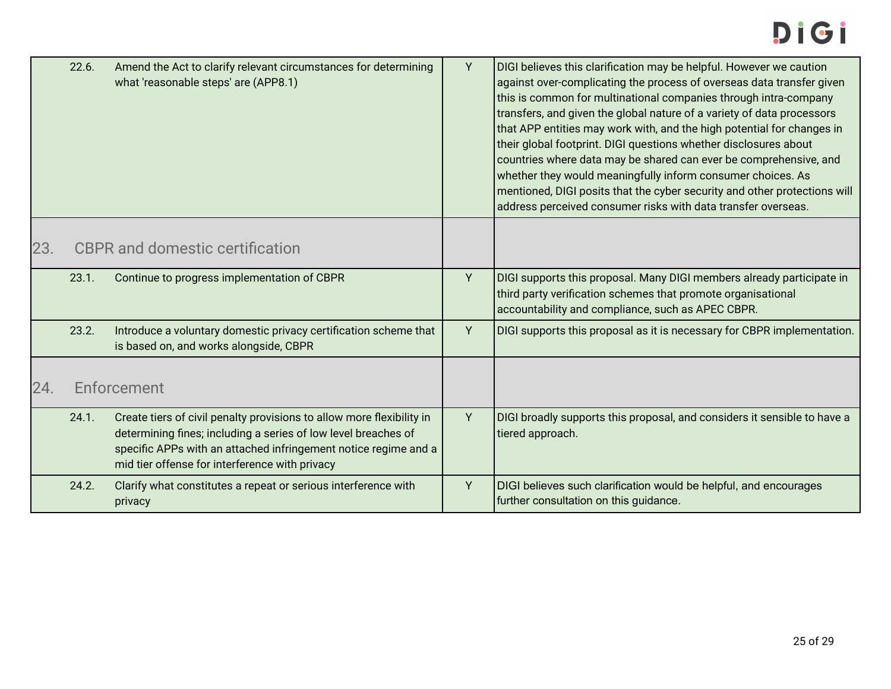<span id="page-24-1"></span><span id="page-24-0"></span>

|     | 22.6. | Amend the Act to clarify relevant circumstances for determining<br>what 'reasonable steps' are (APP8.1)                                                                                                                                                      | Υ | DIGI believes this clarification may be helpful. However we caution<br>against over-complicating the process of overseas data transfer given<br>this is common for multinational companies through intra-company<br>transfers, and given the global nature of a variety of data processors<br>that APP entities may work with, and the high potential for changes in<br>their global footprint. DIGI questions whether disclosures about<br>countries where data may be shared can ever be comprehensive, and<br>whether they would meaningfully inform consumer choices. As<br>mentioned, DIGI posits that the cyber security and other protections will<br>address perceived consumer risks with data transfer overseas. |
|-----|-------|--------------------------------------------------------------------------------------------------------------------------------------------------------------------------------------------------------------------------------------------------------------|---|----------------------------------------------------------------------------------------------------------------------------------------------------------------------------------------------------------------------------------------------------------------------------------------------------------------------------------------------------------------------------------------------------------------------------------------------------------------------------------------------------------------------------------------------------------------------------------------------------------------------------------------------------------------------------------------------------------------------------|
| 23. |       | <b>CBPR</b> and domestic certification                                                                                                                                                                                                                       |   |                                                                                                                                                                                                                                                                                                                                                                                                                                                                                                                                                                                                                                                                                                                            |
|     | 23.1. | Continue to progress implementation of CBPR                                                                                                                                                                                                                  | Y | DIGI supports this proposal. Many DIGI members already participate in<br>third party verification schemes that promote organisational<br>accountability and compliance, such as APEC CBPR.                                                                                                                                                                                                                                                                                                                                                                                                                                                                                                                                 |
|     | 23.2. | Introduce a voluntary domestic privacy certification scheme that<br>is based on, and works alongside, CBPR                                                                                                                                                   | Y | DIGI supports this proposal as it is necessary for CBPR implementation.                                                                                                                                                                                                                                                                                                                                                                                                                                                                                                                                                                                                                                                    |
| 24. |       | Enforcement                                                                                                                                                                                                                                                  |   |                                                                                                                                                                                                                                                                                                                                                                                                                                                                                                                                                                                                                                                                                                                            |
|     | 24.1. | Create tiers of civil penalty provisions to allow more flexibility in<br>determining fines; including a series of low level breaches of<br>specific APPs with an attached infringement notice regime and a<br>mid tier offense for interference with privacy | Y | DIGI broadly supports this proposal, and considers it sensible to have a<br>tiered approach.                                                                                                                                                                                                                                                                                                                                                                                                                                                                                                                                                                                                                               |
|     | 24.2. | Clarify what constitutes a repeat or serious interference with<br>privacy                                                                                                                                                                                    | Y | DIGI believes such clarification would be helpful, and encourages<br>further consultation on this guidance.                                                                                                                                                                                                                                                                                                                                                                                                                                                                                                                                                                                                                |
|     |       |                                                                                                                                                                                                                                                              |   |                                                                                                                                                                                                                                                                                                                                                                                                                                                                                                                                                                                                                                                                                                                            |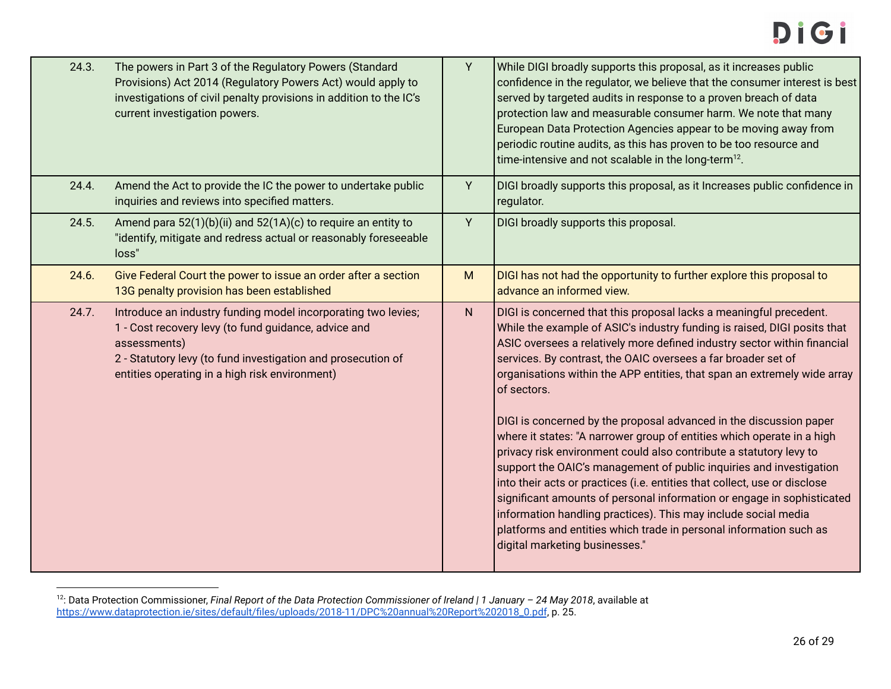| 24.3. | The powers in Part 3 of the Regulatory Powers (Standard<br>Provisions) Act 2014 (Regulatory Powers Act) would apply to<br>investigations of civil penalty provisions in addition to the IC's<br>current investigation powers.                           | Y | While DIGI broadly supports this proposal, as it increases public<br>confidence in the regulator, we believe that the consumer interest is best<br>served by targeted audits in response to a proven breach of data<br>protection law and measurable consumer harm. We note that many<br>European Data Protection Agencies appear to be moving away from<br>periodic routine audits, as this has proven to be too resource and<br>time-intensive and not scalable in the long-term <sup>12</sup> .                                                                                                                                                                                                                                                                                                                                                                                                                                                                                                                   |
|-------|---------------------------------------------------------------------------------------------------------------------------------------------------------------------------------------------------------------------------------------------------------|---|----------------------------------------------------------------------------------------------------------------------------------------------------------------------------------------------------------------------------------------------------------------------------------------------------------------------------------------------------------------------------------------------------------------------------------------------------------------------------------------------------------------------------------------------------------------------------------------------------------------------------------------------------------------------------------------------------------------------------------------------------------------------------------------------------------------------------------------------------------------------------------------------------------------------------------------------------------------------------------------------------------------------|
| 24.4. | Amend the Act to provide the IC the power to undertake public<br>inquiries and reviews into specified matters.                                                                                                                                          | Y | DIGI broadly supports this proposal, as it Increases public confidence in<br>regulator.                                                                                                                                                                                                                                                                                                                                                                                                                                                                                                                                                                                                                                                                                                                                                                                                                                                                                                                              |
| 24.5. | Amend para 52(1)(b)(ii) and 52(1A)(c) to require an entity to<br>"identify, mitigate and redress actual or reasonably foreseeable<br>loss"                                                                                                              | Y | DIGI broadly supports this proposal.                                                                                                                                                                                                                                                                                                                                                                                                                                                                                                                                                                                                                                                                                                                                                                                                                                                                                                                                                                                 |
| 24.6. | Give Federal Court the power to issue an order after a section<br>13G penalty provision has been established                                                                                                                                            | M | DIGI has not had the opportunity to further explore this proposal to<br>advance an informed view.                                                                                                                                                                                                                                                                                                                                                                                                                                                                                                                                                                                                                                                                                                                                                                                                                                                                                                                    |
| 24.7. | Introduce an industry funding model incorporating two levies;<br>1 - Cost recovery levy (to fund guidance, advice and<br>assessments)<br>2 - Statutory levy (to fund investigation and prosecution of<br>entities operating in a high risk environment) | N | DIGI is concerned that this proposal lacks a meaningful precedent.<br>While the example of ASIC's industry funding is raised, DIGI posits that<br>ASIC oversees a relatively more defined industry sector within financial<br>services. By contrast, the OAIC oversees a far broader set of<br>organisations within the APP entities, that span an extremely wide array<br>of sectors.<br>DIGI is concerned by the proposal advanced in the discussion paper<br>where it states: "A narrower group of entities which operate in a high<br>privacy risk environment could also contribute a statutory levy to<br>support the OAIC's management of public inquiries and investigation<br>into their acts or practices (i.e. entities that collect, use or disclose<br>significant amounts of personal information or engage in sophisticated<br>information handling practices). This may include social media<br>platforms and entities which trade in personal information such as<br>digital marketing businesses." |
|       |                                                                                                                                                                                                                                                         |   |                                                                                                                                                                                                                                                                                                                                                                                                                                                                                                                                                                                                                                                                                                                                                                                                                                                                                                                                                                                                                      |

<sup>12</sup> : Data Protection Commissioner, *Final Report of the Data Protection Commissioner of Ireland | 1 January – 24 May 2018*, available at [https://www.dataprotection.ie/sites/default/files/uploads/2018-11/DPC%20annual%20Report%202018\\_0.pdf](https://www.dataprotection.ie/sites/default/files/uploads/2018-11/DPC%20annual%20Report%202018_0.pdf), p. 25.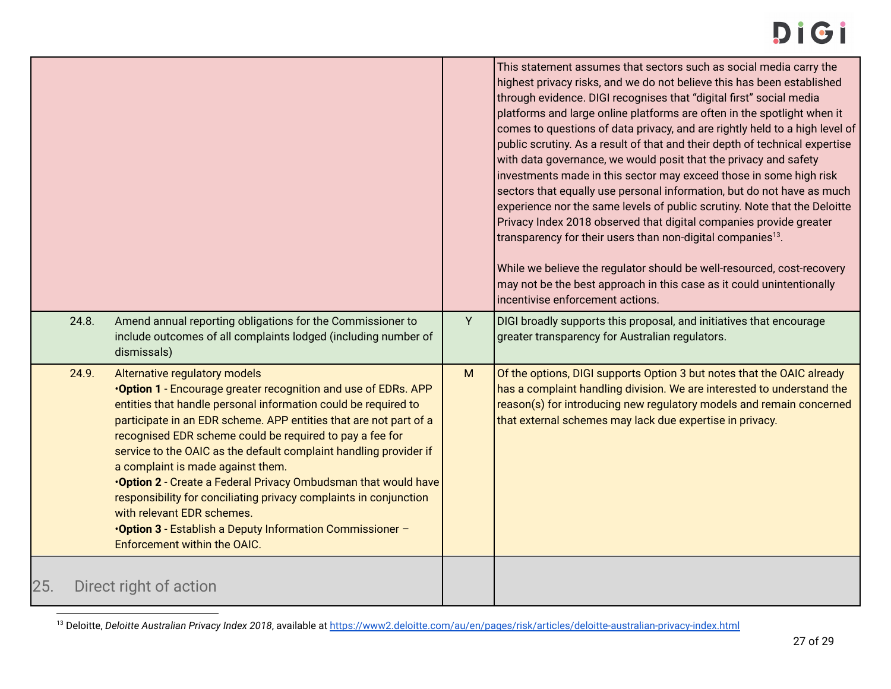|     | 24.8. | Amend annual reporting obligations for the Commissioner to                                                                                                                                                                                                                                                                                                                                                                                                                                                                                                                                                                                                                                   | Y | This statement assumes that sectors such as social media carry the<br>highest privacy risks, and we do not believe this has been established<br>through evidence. DIGI recognises that "digital first" social media<br>platforms and large online platforms are often in the spotlight when it<br>comes to questions of data privacy, and are rightly held to a high level of<br>public scrutiny. As a result of that and their depth of technical expertise<br>with data governance, we would posit that the privacy and safety<br>investments made in this sector may exceed those in some high risk<br>sectors that equally use personal information, but do not have as much<br>experience nor the same levels of public scrutiny. Note that the Deloitte<br>Privacy Index 2018 observed that digital companies provide greater<br>transparency for their users than non-digital companies <sup>13</sup> .<br>While we believe the regulator should be well-resourced, cost-recovery<br>may not be the best approach in this case as it could unintentionally<br>incentivise enforcement actions.<br>DIGI broadly supports this proposal, and initiatives that encourage |
|-----|-------|----------------------------------------------------------------------------------------------------------------------------------------------------------------------------------------------------------------------------------------------------------------------------------------------------------------------------------------------------------------------------------------------------------------------------------------------------------------------------------------------------------------------------------------------------------------------------------------------------------------------------------------------------------------------------------------------|---|------------------------------------------------------------------------------------------------------------------------------------------------------------------------------------------------------------------------------------------------------------------------------------------------------------------------------------------------------------------------------------------------------------------------------------------------------------------------------------------------------------------------------------------------------------------------------------------------------------------------------------------------------------------------------------------------------------------------------------------------------------------------------------------------------------------------------------------------------------------------------------------------------------------------------------------------------------------------------------------------------------------------------------------------------------------------------------------------------------------------------------------------------------------------------|
|     |       | include outcomes of all complaints lodged (including number of<br>dismissals)                                                                                                                                                                                                                                                                                                                                                                                                                                                                                                                                                                                                                |   | greater transparency for Australian regulators.                                                                                                                                                                                                                                                                                                                                                                                                                                                                                                                                                                                                                                                                                                                                                                                                                                                                                                                                                                                                                                                                                                                              |
|     | 24.9. | Alternative regulatory models<br><b>.Option 1</b> - Encourage greater recognition and use of EDRs. APP<br>entities that handle personal information could be required to<br>participate in an EDR scheme. APP entities that are not part of a<br>recognised EDR scheme could be required to pay a fee for<br>service to the OAIC as the default complaint handling provider if<br>a complaint is made against them.<br>.Option 2 - Create a Federal Privacy Ombudsman that would have<br>responsibility for conciliating privacy complaints in conjunction<br>with relevant EDR schemes.<br><b>.Option 3</b> - Establish a Deputy Information Commissioner -<br>Enforcement within the OAIC. | M | Of the options, DIGI supports Option 3 but notes that the OAIC already<br>has a complaint handling division. We are interested to understand the<br>reason(s) for introducing new regulatory models and remain concerned<br>that external schemes may lack due expertise in privacy.                                                                                                                                                                                                                                                                                                                                                                                                                                                                                                                                                                                                                                                                                                                                                                                                                                                                                         |
| 25. |       | Direct right of action                                                                                                                                                                                                                                                                                                                                                                                                                                                                                                                                                                                                                                                                       |   |                                                                                                                                                                                                                                                                                                                                                                                                                                                                                                                                                                                                                                                                                                                                                                                                                                                                                                                                                                                                                                                                                                                                                                              |

<span id="page-26-0"></span><sup>&</sup>lt;sup>13</sup> Deloitte, Deloitte Australian Privacy Index 2018, available at <https://www2.deloitte.com/au/en/pages/risk/articles/deloitte-australian-privacy-index.html>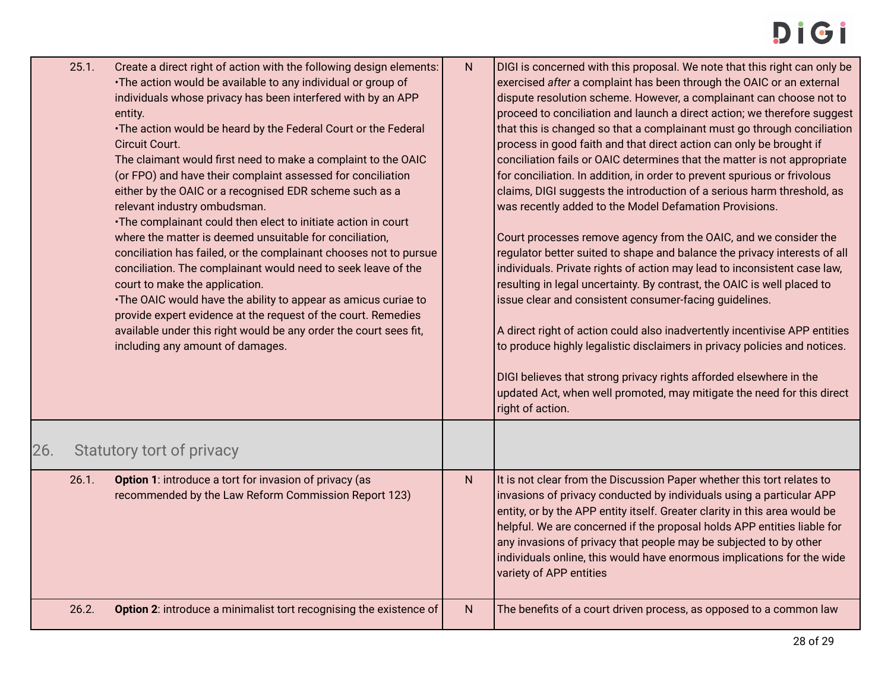<span id="page-27-0"></span>

|     | 25.1. | Create a direct right of action with the following design elements:<br>•The action would be available to any individual or group of<br>individuals whose privacy has been interfered with by an APP<br>entity.<br>•The action would be heard by the Federal Court or the Federal<br>Circuit Court.<br>The claimant would first need to make a complaint to the OAIC<br>(or FPO) and have their complaint assessed for conciliation<br>either by the OAIC or a recognised EDR scheme such as a<br>relevant industry ombudsman.<br>•The complainant could then elect to initiate action in court<br>where the matter is deemed unsuitable for conciliation,<br>conciliation has failed, or the complainant chooses not to pursue<br>conciliation. The complainant would need to seek leave of the<br>court to make the application.<br>•The OAIC would have the ability to appear as amicus curiae to<br>provide expert evidence at the request of the court. Remedies<br>available under this right would be any order the court sees fit,<br>including any amount of damages. | $\mathsf{N}$ | DIGI is concerned with this proposal. We note that this right can only be<br>exercised after a complaint has been through the OAIC or an external<br>dispute resolution scheme. However, a complainant can choose not to<br>proceed to conciliation and launch a direct action; we therefore suggest<br>that this is changed so that a complainant must go through conciliation<br>process in good faith and that direct action can only be brought if<br>conciliation fails or OAIC determines that the matter is not appropriate<br>for conciliation. In addition, in order to prevent spurious or frivolous<br>claims, DIGI suggests the introduction of a serious harm threshold, as<br>was recently added to the Model Defamation Provisions.<br>Court processes remove agency from the OAIC, and we consider the<br>regulator better suited to shape and balance the privacy interests of all<br>individuals. Private rights of action may lead to inconsistent case law,<br>resulting in legal uncertainty. By contrast, the OAIC is well placed to<br>issue clear and consistent consumer-facing guidelines.<br>A direct right of action could also inadvertently incentivise APP entities<br>to produce highly legalistic disclaimers in privacy policies and notices.<br>DIGI believes that strong privacy rights afforded elsewhere in the<br>updated Act, when well promoted, may mitigate the need for this direct<br>right of action. |
|-----|-------|-------------------------------------------------------------------------------------------------------------------------------------------------------------------------------------------------------------------------------------------------------------------------------------------------------------------------------------------------------------------------------------------------------------------------------------------------------------------------------------------------------------------------------------------------------------------------------------------------------------------------------------------------------------------------------------------------------------------------------------------------------------------------------------------------------------------------------------------------------------------------------------------------------------------------------------------------------------------------------------------------------------------------------------------------------------------------------|--------------|-----------------------------------------------------------------------------------------------------------------------------------------------------------------------------------------------------------------------------------------------------------------------------------------------------------------------------------------------------------------------------------------------------------------------------------------------------------------------------------------------------------------------------------------------------------------------------------------------------------------------------------------------------------------------------------------------------------------------------------------------------------------------------------------------------------------------------------------------------------------------------------------------------------------------------------------------------------------------------------------------------------------------------------------------------------------------------------------------------------------------------------------------------------------------------------------------------------------------------------------------------------------------------------------------------------------------------------------------------------------------------------------------------------------------------------------------------|
| 26. |       | Statutory tort of privacy                                                                                                                                                                                                                                                                                                                                                                                                                                                                                                                                                                                                                                                                                                                                                                                                                                                                                                                                                                                                                                                     |              |                                                                                                                                                                                                                                                                                                                                                                                                                                                                                                                                                                                                                                                                                                                                                                                                                                                                                                                                                                                                                                                                                                                                                                                                                                                                                                                                                                                                                                                     |
|     | 26.1. | Option 1: introduce a tort for invasion of privacy (as<br>recommended by the Law Reform Commission Report 123)                                                                                                                                                                                                                                                                                                                                                                                                                                                                                                                                                                                                                                                                                                                                                                                                                                                                                                                                                                | $\mathsf{N}$ | It is not clear from the Discussion Paper whether this tort relates to<br>invasions of privacy conducted by individuals using a particular APP<br>entity, or by the APP entity itself. Greater clarity in this area would be<br>helpful. We are concerned if the proposal holds APP entities liable for<br>any invasions of privacy that people may be subjected to by other<br>individuals online, this would have enormous implications for the wide<br>variety of APP entities                                                                                                                                                                                                                                                                                                                                                                                                                                                                                                                                                                                                                                                                                                                                                                                                                                                                                                                                                                   |
|     | 26.2. | Option 2: introduce a minimalist tort recognising the existence of                                                                                                                                                                                                                                                                                                                                                                                                                                                                                                                                                                                                                                                                                                                                                                                                                                                                                                                                                                                                            | ${\sf N}$    | The benefits of a court driven process, as opposed to a common law                                                                                                                                                                                                                                                                                                                                                                                                                                                                                                                                                                                                                                                                                                                                                                                                                                                                                                                                                                                                                                                                                                                                                                                                                                                                                                                                                                                  |
|     |       |                                                                                                                                                                                                                                                                                                                                                                                                                                                                                                                                                                                                                                                                                                                                                                                                                                                                                                                                                                                                                                                                               |              |                                                                                                                                                                                                                                                                                                                                                                                                                                                                                                                                                                                                                                                                                                                                                                                                                                                                                                                                                                                                                                                                                                                                                                                                                                                                                                                                                                                                                                                     |